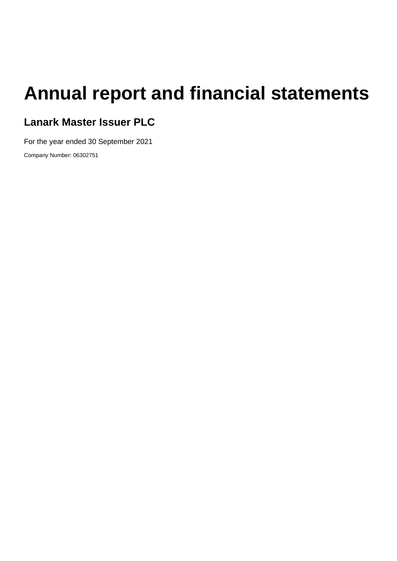# **Annual report and financial statements**

# **Lanark Master Issuer PLC**

For the year ended 30 September 2021

Company Number: 06302751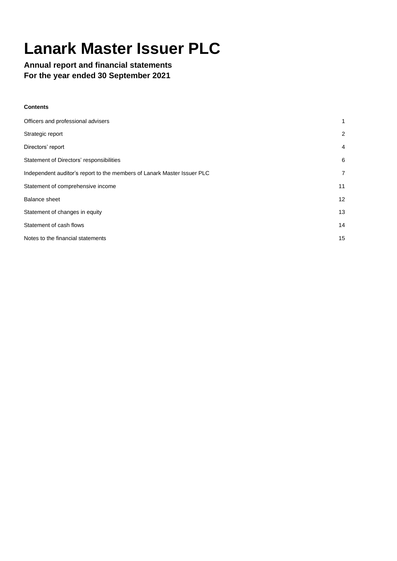# **Lanark Master Issuer PLC**

# **Annual report and financial statements For the year ended 30 September 2021**

| <b>Contents</b>                                                         |                |
|-------------------------------------------------------------------------|----------------|
| Officers and professional advisers                                      | 1              |
| Strategic report                                                        | $\overline{2}$ |
| Directors' report                                                       | 4              |
| Statement of Directors' responsibilities                                | 6              |
| Independent auditor's report to the members of Lanark Master Issuer PLC | $\overline{7}$ |
| Statement of comprehensive income                                       | 11             |
| Balance sheet                                                           | 12             |
| Statement of changes in equity                                          | 13             |
| Statement of cash flows                                                 | 14             |
| Notes to the financial statements                                       | 15             |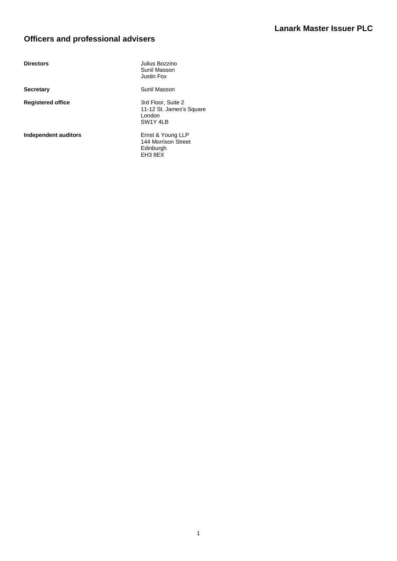# **Lanark Master Issuer PLC**

# **Officers and professional advisers**

| <b>Directors</b>         | Julius Bozzino<br>Sunil Masson<br><b>Justin Fox</b>                                |
|--------------------------|------------------------------------------------------------------------------------|
| <b>Secretary</b>         | Sunil Masson                                                                       |
| <b>Registered office</b> | 3rd Floor, Suite 2<br>11-12 St. James's Square<br>I ondon<br>SW <sub>1</sub> Y 4LB |
| Independent auditors     | Ernst & Young LLP<br>144 Morrison Street<br>Edinburgh                              |

EH3 8EX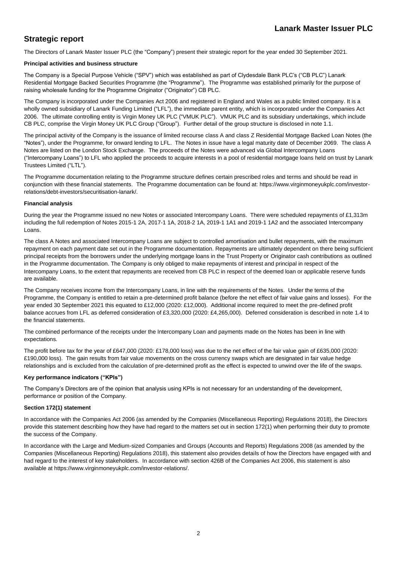# **Strategic report**

The Directors of Lanark Master Issuer PLC (the "Company") present their strategic report for the year ended 30 September 2021.

#### **Principal activities and business structure**

The Company is a Special Purpose Vehicle ("SPV") which was established as part of Clydesdale Bank PLC's ("CB PLC") Lanark Residential Mortgage Backed Securities Programme (the "Programme"). The Programme was established primarily for the purpose of raising wholesale funding for the Programme Originator ("Originator") CB PLC.

The Company is incorporated under the Companies Act 2006 and registered in England and Wales as a public limited company. It is a wholly owned subsidiary of Lanark Funding Limited ("LFL"), the immediate parent entity, which is incorporated under the Companies Act 2006. The ultimate controlling entity is Virgin Money UK PLC ("VMUK PLC"). VMUK PLC and its subsidiary undertakings, which include CB PLC, comprise the Virgin Money UK PLC Group ("Group"). Further detail of the group structure is disclosed in note 1.1.

The principal activity of the Company is the issuance of limited recourse class A and class Z Residential Mortgage Backed Loan Notes (the "Notes"), under the Programme, for onward lending to LFL. The Notes in issue have a legal maturity date of December 2069. The class A Notes are listed on the London Stock Exchange. The proceeds of the Notes were advanced via Global Intercompany Loans ("Intercompany Loans") to LFL who applied the proceeds to acquire interests in a pool of residential mortgage loans held on trust by Lanark Trustees Limited ("LTL").

The Programme documentation relating to the Programme structure defines certain prescribed roles and terms and should be read in conjunction with these financial statements. The Programme documentation can be found at: https://www.virginmoneyukplc.com/investorrelations/debt-investors/securitisation-lanark/.

#### **Financial analysis**

During the year the Programme issued no new Notes or associated Intercompany Loans. There were scheduled repayments of £1,313m including the full redemption of Notes 2015-1 2A, 2017-1 1A, 2018-2 1A, 2019-1 1A1 and 2019-1 1A2 and the associated Intercompany Loans.

The class A Notes and associated Intercompany Loans are subject to controlled amortisation and bullet repayments, with the maximum repayment on each payment date set out in the Programme documentation. Repayments are ultimately dependent on there being sufficient principal receipts from the borrowers under the underlying mortgage loans in the Trust Property or Originator cash contributions as outlined in the Programme documentation. The Company is only obliged to make repayments of interest and principal in respect of the Intercompany Loans, to the extent that repayments are received from CB PLC in respect of the deemed loan or applicable reserve funds are available.

The Company receives income from the Intercompany Loans, in line with the requirements of the Notes. Under the terms of the Programme, the Company is entitled to retain a pre-determined profit balance (before the net effect of fair value gains and losses). For the year ended 30 September 2021 this equated to £12,000 (2020: £12,000). Additional income required to meet the pre-defined profit balance accrues from LFL as deferred consideration of £3,320,000 (2020: £4,265,000). Deferred consideration is described in note 1.4 to the financial statements.

The combined performance of the receipts under the Intercompany Loan and payments made on the Notes has been in line with expectations.

The profit before tax for the year of £647,000 (2020: £178,000 loss) was due to the net effect of the fair value gain of £635,000 (2020: £190,000 loss). The gain results from fair value movements on the cross currency swaps which are designated in fair value hedge relationships and is excluded from the calculation of pre-determined profit as the effect is expected to unwind over the life of the swaps.

#### **Key performance indicators ("KPIs")**

The Company's Directors are of the opinion that analysis using KPIs is not necessary for an understanding of the development, performance or position of the Company.

#### **Section 172(1) statement**

In accordance with the Companies Act 2006 (as amended by the Companies (Miscellaneous Reporting) Regulations 2018), the Directors provide this statement describing how they have had regard to the matters set out in section 172(1) when performing their duty to promote the success of the Company.

In accordance with the Large and Medium-sized Companies and Groups (Accounts and Reports) Regulations 2008 (as amended by the Companies (Miscellaneous Reporting) Regulations 2018), this statement also provides details of how the Directors have engaged with and had regard to the interest of key stakeholders. In accordance with section 426B of the Companies Act 2006, this statement is also available at https://www.virginmoneyukplc.com/investor-relations/.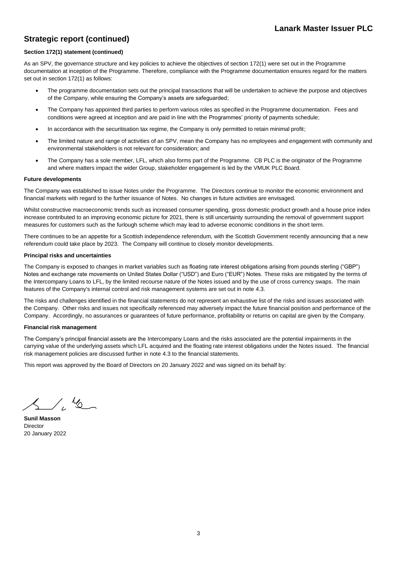# **Strategic report (continued)**

#### **Section 172(1) statement (continued)**

As an SPV, the governance structure and key policies to achieve the objectives of section 172(1) were set out in the Programme documentation at inception of the Programme. Therefore, compliance with the Programme documentation ensures regard for the matters set out in section 172(1) as follows:

- The programme documentation sets out the principal transactions that will be undertaken to achieve the purpose and objectives of the Company, while ensuring the Company's assets are safeguarded;
- The Company has appointed third parties to perform various roles as specified in the Programme documentation. Fees and conditions were agreed at inception and are paid in line with the Programmes' priority of payments schedule;
- In accordance with the securitisation tax regime, the Company is only permitted to retain minimal profit;
- The limited nature and range of activities of an SPV, mean the Company has no employees and engagement with community and environmental stakeholders is not relevant for consideration; and
- The Company has a sole member, LFL, which also forms part of the Programme. CB PLC is the originator of the Programme and where matters impact the wider Group, stakeholder engagement is led by the VMUK PLC Board.

#### **Future developments**

The Company was established to issue Notes under the Programme. The Directors continue to monitor the economic environment and financial markets with regard to the further issuance of Notes. No changes in future activities are envisaged.

Whilst constructive macroeconomic trends such as increased consumer spending, gross domestic product growth and a house price index increase contributed to an improving economic picture for 2021, there is still uncertainty surrounding the removal of government support measures for customers such as the furlough scheme which may lead to adverse economic conditions in the short term.

There continues to be an appetite for a Scottish independence referendum, with the Scottish Government recently announcing that a new referendum could take place by 2023. The Company will continue to closely monitor developments.

#### **Principal risks and uncertainties**

The Company is exposed to changes in market variables such as floating rate interest obligations arising from pounds sterling ("GBP") Notes and exchange rate movements on United States Dollar ("USD") and Euro ("EUR") Notes. These risks are mitigated by the terms of the Intercompany Loans to LFL, by the limited recourse nature of the Notes issued and by the use of cross currency swaps. The main features of the Company's internal control and risk management systems are set out in note 4.3.

The risks and challenges identified in the financial statements do not represent an exhaustive list of the risks and issues associated with the Company. Other risks and issues not specifically referenced may adversely impact the future financial position and performance of the Company. Accordingly, no assurances or guarantees of future performance, profitability or returns on capital are given by the Company.

#### **Financial risk management**

The Company's principal financial assets are the Intercompany Loans and the risks associated are the potential impairments in the carrying value of the underlying assets which LFL acquired and the floating rate interest obligations under the Notes issued. The financial risk management policies are discussed further in note 4.3 to the financial statements.

This report was approved by the Board of Directors on 20 January 2022 and was signed on its behalf by:

 $1.40$ 

**Sunil Masson** Director 20 January 2022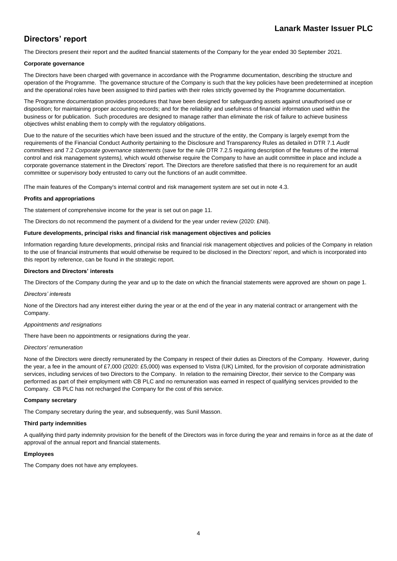# **Directors' report**

The Directors present their report and the audited financial statements of the Company for the year ended 30 September 2021.

#### **Corporate governance**

The Directors have been charged with governance in accordance with the Programme documentation, describing the structure and operation of the Programme. The governance structure of the Company is such that the key policies have been predetermined at inception and the operational roles have been assigned to third parties with their roles strictly governed by the Programme documentation.

The Programme documentation provides procedures that have been designed for safeguarding assets against unauthorised use or disposition; for maintaining proper accounting records; and for the reliability and usefulness of financial information used within the business or for publication. Such procedures are designed to manage rather than eliminate the risk of failure to achieve business objectives whilst enabling them to comply with the regulatory obligations.

Due to the nature of the securities which have been issued and the structure of the entity, the Company is largely exempt from the requirements of the Financial Conduct Authority pertaining to the Disclosure and Transparency Rules as detailed in DTR 7.1 *Audit committees* and 7.2 *Corporate governance statements* (save for the rule DTR 7.2.5 requiring description of the features of the internal control and risk management systems*),* which would otherwise require the Company to have an audit committee in place and include a corporate governance statement in the Directors' report. The Directors are therefore satisfied that there is no requirement for an audit committee or supervisory body entrusted to carry out the functions of an audit committee.

lThe main features of the Company's internal control and risk management system are set out in note 4.3.

#### **Profits and appropriations**

The statement of comprehensive income for the year is set out on page 11.

The Directors do not recommend the payment of a dividend for the year under review (2020: £Nil).

#### **Future developments, principal risks and financial risk management objectives and policies**

Information regarding future developments, principal risks and financial risk management objectives and policies of the Company in relation to the use of financial instruments that would otherwise be required to be disclosed in the Directors' report, and which is incorporated into this report by reference, can be found in the strategic report.

#### **Directors and Directors' interests**

The Directors of the Company during the year and up to the date on which the financial statements were approved are shown on page 1.

#### *Directors' interests*

None of the Directors had any interest either during the year or at the end of the year in any material contract or arrangement with the Company.

#### *Appointments and resignations*

There have been no appointments or resignations during the year.

#### *Directors' remuneration*

None of the Directors were directly remunerated by the Company in respect of their duties as Directors of the Company. However, during the year, a fee in the amount of £7,000 (2020: £5,000) was expensed to Vistra (UK) Limited, for the provision of corporate administration services, including services of two Directors to the Company. In relation to the remaining Director, their service to the Company was performed as part of their employment with CB PLC and no remuneration was earned in respect of qualifying services provided to the Company. CB PLC has not recharged the Company for the cost of this service.

#### **Company secretary**

The Company secretary during the year, and subsequently, was Sunil Masson.

#### **Third party indemnities**

A qualifying third party indemnity provision for the benefit of the Directors was in force during the year and remains in force as at the date of approval of the annual report and financial statements.

#### **Employees**

The Company does not have any employees.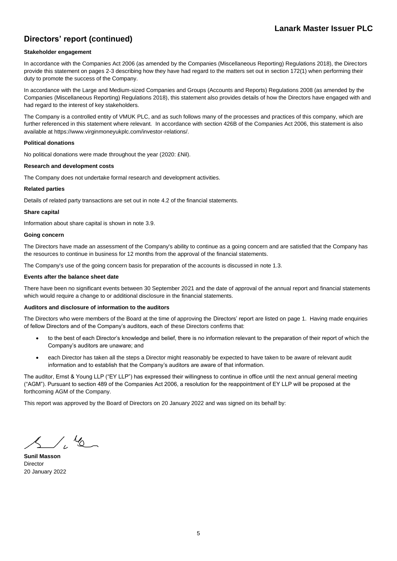# **Directors' report (continued)**

#### **Stakeholder engagement**

In accordance with the Companies Act 2006 (as amended by the Companies (Miscellaneous Reporting) Regulations 2018), the Directors provide this statement on pages 2-3 describing how they have had regard to the matters set out in section 172(1) when performing their duty to promote the success of the Company.

In accordance with the Large and Medium-sized Companies and Groups (Accounts and Reports) Regulations 2008 (as amended by the Companies (Miscellaneous Reporting) Regulations 2018), this statement also provides details of how the Directors have engaged with and had regard to the interest of key stakeholders.

The Company is a controlled entity of VMUK PLC, and as such follows many of the processes and practices of this company, which are further referenced in this statement where relevant. In accordance with section 426B of the Companies Act 2006, this statement is also available at https://www.virginmoneyukplc.com/investor-relations/.

#### **Political donations**

No political donations were made throughout the year (2020: £Nil).

#### **Research and development costs**

The Company does not undertake formal research and development activities.

#### **Related parties**

Details of related party transactions are set out in note 4.2 of the financial statements.

#### **Share capital**

Information about share capital is shown in note 3.9.

#### **Going concern**

The Directors have made an assessment of the Company's ability to continue as a going concern and are satisfied that the Company has the resources to continue in business for 12 months from the approval of the financial statements.

The Company's use of the going concern basis for preparation of the accounts is discussed in note 1.3.

#### **Events after the balance sheet date**

There have been no significant events between 30 September 2021 and the date of approval of the annual report and financial statements which would require a change to or additional disclosure in the financial statements.

#### **Auditors and disclosure of information to the auditors**

The Directors who were members of the Board at the time of approving the Directors' report are listed on page 1. Having made enquiries of fellow Directors and of the Company's auditors, each of these Directors confirms that:

- to the best of each Director's knowledge and belief, there is no information relevant to the preparation of their report of which the Company's auditors are unaware; and
- each Director has taken all the steps a Director might reasonably be expected to have taken to be aware of relevant audit information and to establish that the Company's auditors are aware of that information.

The auditor, Ernst & Young LLP ("EY LLP") has expressed their willingness to continue in office until the next annual general meeting ("AGM"). Pursuant to section 489 of the Companies Act 2006, a resolution for the reappointment of EY LLP will be proposed at the forthcoming AGM of the Company.

This report was approved by the Board of Directors on 20 January 2022 and was signed on its behalf by:

 $\frac{1}{2}$ 

**Sunil Masson** Director 20 January 2022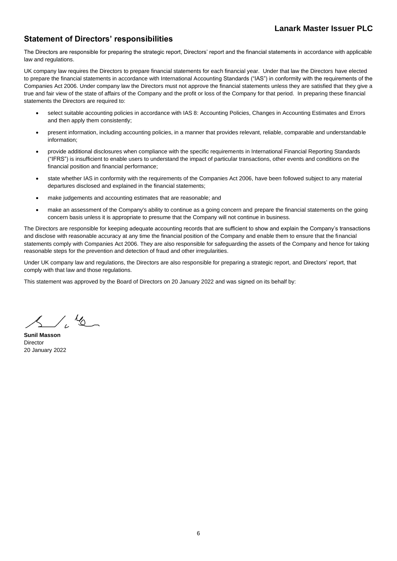## **Statement of Directors' responsibilities**

The Directors are responsible for preparing the strategic report, Directors' report and the financial statements in accordance with applicable law and regulations.

UK company law requires the Directors to prepare financial statements for each financial year. Under that law the Directors have elected to prepare the financial statements in accordance with International Accounting Standards ("IAS") in conformity with the requirements of the Companies Act 2006. Under company law the Directors must not approve the financial statements unless they are satisfied that they give a true and fair view of the state of affairs of the Company and the profit or loss of the Company for that period. In preparing these financial statements the Directors are required to:

- select suitable accounting policies in accordance with IAS 8: Accounting Policies, Changes in Accounting Estimates and Errors and then apply them consistently;
- present information, including accounting policies, in a manner that provides relevant, reliable, comparable and understandable information;
- provide additional disclosures when compliance with the specific requirements in International Financial Reporting Standards ("IFRS") is insufficient to enable users to understand the impact of particular transactions, other events and conditions on the financial position and financial performance;
- state whether IAS in conformity with the requirements of the Companies Act 2006, have been followed subject to any material departures disclosed and explained in the financial statements;
- make judgements and accounting estimates that are reasonable; and
- make an assessment of the Company's ability to continue as a going concern and prepare the financial statements on the going concern basis unless it is appropriate to presume that the Company will not continue in business.

The Directors are responsible for keeping adequate accounting records that are sufficient to show and explain the Company's transactions and disclose with reasonable accuracy at any time the financial position of the Company and enable them to ensure that the financial statements comply with Companies Act 2006. They are also responsible for safeguarding the assets of the Company and hence for taking reasonable steps for the prevention and detection of fraud and other irregularities.

Under UK company law and regulations, the Directors are also responsible for preparing a strategic report, and Directors' report, that comply with that law and those regulations.

This statement was approved by the Board of Directors on 20 January 2022 and was signed on its behalf by:

 $\frac{1}{2}$ 

**Sunil Masson** Director 20 January 2022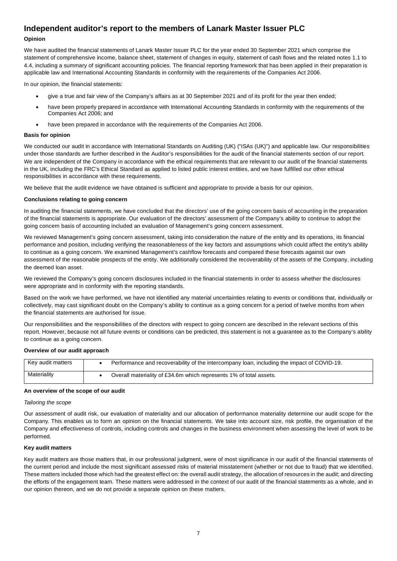### **Independent auditor's report to the members of Lanark Master Issuer PLC**

#### **Opinion**

We have audited the financial statements of Lanark Master Issuer PLC for the year ended 30 September 2021 which comprise the statement of comprehensive income, balance sheet, statement of changes in equity, statement of cash flows and the related notes 1.1 to 4.4, including a summary of significant accounting policies. The financial reporting framework that has been applied in their preparation is applicable law and International Accounting Standards in conformity with the requirements of the Companies Act 2006.

In our opinion, the financial statements:

- give a true and fair view of the Company's affairs as at 30 September 2021 and of its profit for the year then ended;
- have been properly prepared in accordance with International Accounting Standards in conformity with the requirements of the Companies Act 2006; and
- have been prepared in accordance with the requirements of the Companies Act 2006.

#### **Basis for opinion**

We conducted our audit in accordance with International Standards on Auditing (UK) ("ISAs (UK)") and applicable law. Our responsibilities under those standards are further described in the Auditor's responsibilities for the audit of the financial statements section of our report. We are independent of the Company in accordance with the ethical requirements that are relevant to our audit of the financial statements in the UK, including the FRC's Ethical Standard as applied to listed public interest entities, and we have fulfilled our other ethical responsibilities in accordance with these requirements.

We believe that the audit evidence we have obtained is sufficient and appropriate to provide a basis for our opinion.

#### **Conclusions relating to going concern**

In auditing the financial statements, we have concluded that the directors' use of the going concern basis of accounting in the preparation of the financial statements is appropriate. Our evaluation of the directors' assessment of the Company's ability to continue to adopt the going concern basis of accounting included an evaluation of Management's going concern assessment.

We reviewed Management's going concern assessment, taking into consideration the nature of the entity and its operations, its financial performance and position, including verifying the reasonableness of the key factors and assumptions which could affect the entity's ability to continue as a going concern. We examined Management's cashflow forecasts and compared these forecasts against our own assessment of the reasonable prospects of the entity. We additionally considered the recoverability of the assets of the Company, including the deemed loan asset.

We reviewed the Company's going concern disclosures included in the financial statements in order to assess whether the disclosures were appropriate and in conformity with the reporting standards.

Based on the work we have performed, we have not identified any material uncertainties relating to events or conditions that, individually or collectively, may cast significant doubt on the Company's ability to continue as a going concern for a period of twelve months from when the financial statements are authorised for issue.

Our responsibilities and the responsibilities of the directors with respect to going concern are described in the relevant sections of this report. However, because not all future events or conditions can be predicted, this statement is not a guarantee as to the Company's ability to continue as a going concern.

#### **Overview of our audit approach**

| Key audit matters | Performance and recoverability of the intercompany loan, including the impact of COVID-19. |
|-------------------|--------------------------------------------------------------------------------------------|
| Materiality       | Overall materiality of £34.6m which represents 1% of total assets.                         |

#### **An overview of the scope of our audit**

#### *Tailoring the scope*

Our assessment of audit risk, our evaluation of materiality and our allocation of performance materiality determine our audit scope for the Company. This enables us to form an opinion on the financial statements. We take into account size, risk profile, the organisation of the Company and effectiveness of controls, including controls and changes in the business environment when assessing the level of work to be performed.

#### **Key audit matters**

Key audit matters are those matters that, in our professional judgment, were of most significance in our audit of the financial statements of the current period and include the most significant assessed risks of material misstatement (whether or not due to fraud) that we identified. These matters included those which had the greatest effect on: the overall audit strategy, the allocation of resources in the audit; and directing the efforts of the engagement team. These matters were addressed in the context of our audit of the financial statements as a whole, and in our opinion thereon, and we do not provide a separate opinion on these matters.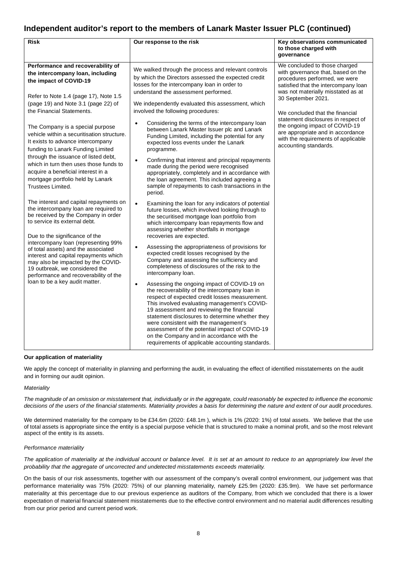### **Independent auditor's report to the members of Lanark Master Issuer PLC (continued)**

| Risk                                                                                                                                                                                                                                 | Our response to the risk                                                                                                                                                                                                                                                                                                                                                                                                                                                                                 | Key observations communicated                                                                                                                                                      |
|--------------------------------------------------------------------------------------------------------------------------------------------------------------------------------------------------------------------------------------|----------------------------------------------------------------------------------------------------------------------------------------------------------------------------------------------------------------------------------------------------------------------------------------------------------------------------------------------------------------------------------------------------------------------------------------------------------------------------------------------------------|------------------------------------------------------------------------------------------------------------------------------------------------------------------------------------|
|                                                                                                                                                                                                                                      |                                                                                                                                                                                                                                                                                                                                                                                                                                                                                                          | to those charged with<br>governance                                                                                                                                                |
| Performance and recoverability of<br>the intercompany loan, including<br>the impact of COVID-19                                                                                                                                      | We walked through the process and relevant controls<br>by which the Directors assessed the expected credit<br>losses for the intercompany loan in order to                                                                                                                                                                                                                                                                                                                                               | We concluded to those charged<br>with governance that, based on the<br>procedures performed, we were<br>satisfied that the intercompany loan<br>was not materially misstated as at |
| Refer to Note 1.4 (page 17), Note 1.5<br>(page 19) and Note 3.1 (page 22) of<br>the Financial Statements.                                                                                                                            | understand the assessment performed.<br>We independently evaluated this assessment, which<br>involved the following procedures:                                                                                                                                                                                                                                                                                                                                                                          | 30 September 2021.<br>We concluded that the financial<br>statement disclosures in respect of                                                                                       |
| The Company is a special purpose<br>vehicle within a securitisation structure.<br>It exists to advance intercompany<br>funding to Lanark Funding Limited                                                                             | Considering the terms of the intercompany loan<br>between Lanark Master Issuer plc and Lanark<br>Funding Limited, including the potential for any<br>expected loss events under the Lanark<br>programme.                                                                                                                                                                                                                                                                                                 | the ongoing impact of COVID-19<br>are appropriate and in accordance<br>with the requirements of applicable<br>accounting standards.                                                |
| through the issuance of listed debt,<br>which in turn then uses those funds to<br>acquire a beneficial interest in a<br>mortgage portfolio held by Lanark<br><b>Trustees Limited.</b>                                                | Confirming that interest and principal repayments<br>$\bullet$<br>made during the period were recognised<br>appropriately, completely and in accordance with<br>the loan agreement. This included agreeing a<br>sample of repayments to cash transactions in the<br>period.                                                                                                                                                                                                                              |                                                                                                                                                                                    |
| The interest and capital repayments on<br>the intercompany loan are required to<br>be received by the Company in order<br>to service its external debt.<br>Due to the significance of the                                            | Examining the loan for any indicators of potential<br>$\bullet$<br>future losses, which involved looking through to<br>the securitised mortgage loan portfolio from<br>which intercompany loan repayments flow and<br>assessing whether shortfalls in mortgage<br>recoveries are expected.                                                                                                                                                                                                               |                                                                                                                                                                                    |
| intercompany loan (representing 99%<br>of total assets) and the associated<br>interest and capital repayments which<br>may also be impacted by the COVID-<br>19 outbreak, we considered the<br>performance and recoverability of the | Assessing the appropriateness of provisions for<br>$\bullet$<br>expected credit losses recognised by the<br>Company and assessing the sufficiency and<br>completeness of disclosures of the risk to the<br>intercompany loan.                                                                                                                                                                                                                                                                            |                                                                                                                                                                                    |
| loan to be a key audit matter.                                                                                                                                                                                                       | Assessing the ongoing impact of COVID-19 on<br>$\bullet$<br>the recoverability of the intercompany loan in<br>respect of expected credit losses measurement.<br>This involved evaluating management's COVID-<br>19 assessment and reviewing the financial<br>statement disclosures to determine whether they<br>were consistent with the management's<br>assessment of the potential impact of COVID-19<br>on the Company and in accordance with the<br>requirements of applicable accounting standards. |                                                                                                                                                                                    |

#### **Our application of materiality**

We apply the concept of materiality in planning and performing the audit, in evaluating the effect of identified misstatements on the audit and in forming our audit opinion.

#### *Materiality*

*The magnitude of an omission or misstatement that, individually or in the aggregate, could reasonably be expected to influence the economic decisions of the users of the financial statements. Materiality provides a basis for determining the nature and extent of our audit procedures.*

We determined materiality for the company to be £34.6m (2020: £48.1m), which is 1% (2020: 1%) of total assets. We believe that the use of total assets is appropriate since the entity is a special purpose vehicle that is structured to make a nominal profit, and so the most relevant aspect of the entity is its assets.

#### *Performance materiality*

*The application of materiality at the individual account or balance level. It is set at an amount to reduce to an appropriately low level the probability that the aggregate of uncorrected and undetected misstatements exceeds materiality.*

On the basis of our risk assessments, together with our assessment of the company's overall control environment, our judgement was that performance materiality was 75% (2020: 75%) of our planning materiality, namely £25.9m (2020: £35.9m). We have set performance materiality at this percentage due to our previous experience as auditors of the Company, from which we concluded that there is a lower expectation of material financial statement misstatements due to the effective control environment and no material audit differences resulting from our prior period and current period work.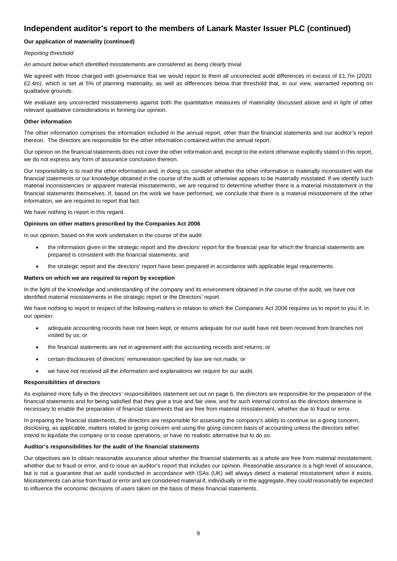### **Independent auditor's report to the members of Lanark Master Issuer PLC (continued)**

#### **Our application of materiality (continued)**

#### *Reporting threshold*

*An amount below which identified misstatements are considered as being clearly trivial.*

We agreed with those charged with governance that we would report to them all uncorrected audit differences in excess of £1.7m (2020: £2.4m), which is set at 5% of planning materiality, as well as differences below that threshold that, in our view, warranted reporting on qualitative grounds.

We evaluate any uncorrected misstatements against both the quantitative measures of materiality discussed above and in light of other relevant qualitative considerations in forming our opinion.

#### **Other information**

The other information comprises the information included in the annual report, other than the financial statements and our auditor's report thereon. The directors are responsible for the other information contained within the annual report.

Our opinion on the financial statements does not cover the other information and, except to the extent otherwise explicitly stated in this report, we do not express any form of assurance conclusion thereon.

Our responsibility is to read the other information and, in doing so, consider whether the other information is materially inconsistent with the financial statements or our knowledge obtained in the course of the audit or otherwise appears to be materially misstated. If we identify such material inconsistencies or apparent material misstatements, we are required to determine whether there is a material misstatement in the financial statements themselves. If, based on the work we have performed, we conclude that there is a material misstatement of the other information, we are required to report that fact.

We have nothing to report in this regard.

#### **Opinions on other matters prescribed by the Companies Act 2006**

In our opinion, based on the work undertaken in the course of the audit:

- the information given in the strategic report and the directors' report for the financial year for which the financial statements are prepared is consistent with the financial statements; and
- the strategic report and the directors' report have been prepared in accordance with applicable legal requirements.

#### **Matters on which we are required to report by exception**

In the light of the knowledge and understanding of the company and its environment obtained in the course of the audit, we have not identified material misstatements in the strategic report or the Directors' report.

We have nothing to report in respect of the following matters in relation to which the Companies Act 2006 requires us to report to you if, in our opinion:

- adequate accounting records have not been kept, or returns adequate for our audit have not been received from branches not visited by us; or
- the financial statements are not in agreement with the accounting records and returns; or
- certain disclosures of directors' remuneration specified by law are not made; or
- we have not received all the information and explanations we require for our audit.

#### **Responsibilities of directors**

As explained more fully in the directors' responsibilities statement set out on page 6, the directors are responsible for the preparation of the financial statements and for being satisfied that they give a true and fair view, and for such internal control as the directors determine is necessary to enable the preparation of financial statements that are free from material misstatement, whether due to fraud or error.

In preparing the financial statements, the directors are responsible for assessing the company's ability to continue as a going concern, disclosing, as applicable, matters related to going concern and using the going concern basis of accounting unless the directors either intend to liquidate the company or to cease operations, or have no realistic alternative but to do so.

#### **Auditor's responsibilities for the audit of the financial statements**

Our objectives are to obtain reasonable assurance about whether the financial statements as a whole are free from material misstatement, whether due to fraud or error, and to issue an auditor's report that includes our opinion. Reasonable assurance is a high level of assurance. but is not a guarantee that an audit conducted in accordance with ISAs (UK) will always detect a material misstatement when it exists. Misstatements can arise from fraud or error and are considered material if, individually or in the aggregate, they could reasonably be expected to influence the economic decisions of users taken on the basis of these financial statements.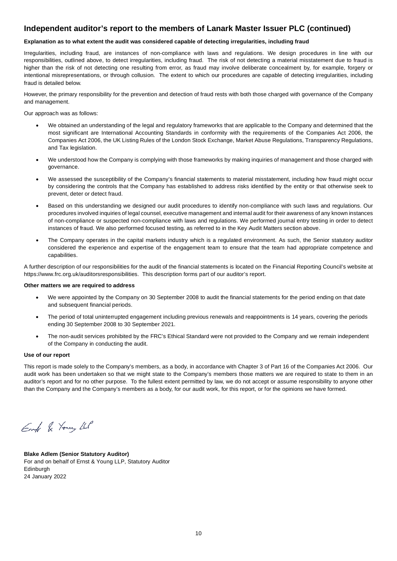### **Independent auditor's report to the members of Lanark Master Issuer PLC (continued)**

#### **Explanation as to what extent the audit was considered capable of detecting irregularities, including fraud**

Irregularities, including fraud, are instances of non-compliance with laws and regulations. We design procedures in line with our responsibilities, outlined above, to detect irregularities, including fraud. The risk of not detecting a material misstatement due to fraud is higher than the risk of not detecting one resulting from error, as fraud may involve deliberate concealment by, for example, forgery or intentional misrepresentations, or through collusion. The extent to which our procedures are capable of detecting irregularities, including fraud is detailed below.

However, the primary responsibility for the prevention and detection of fraud rests with both those charged with governance of the Company and management.

Our approach was as follows:

- We obtained an understanding of the legal and regulatory frameworks that are applicable to the Company and determined that the most significant are International Accounting Standards in conformity with the requirements of the Companies Act 2006, the Companies Act 2006, the UK Listing Rules of the London Stock Exchange, Market Abuse Regulations, Transparency Regulations, and Tax legislation.
- We understood how the Company is complying with those frameworks by making inquiries of management and those charged with governance.
- We assessed the susceptibility of the Company's financial statements to material misstatement, including how fraud might occur by considering the controls that the Company has established to address risks identified by the entity or that otherwise seek to prevent, deter or detect fraud.
- Based on this understanding we designed our audit procedures to identify non-compliance with such laws and regulations. Our procedures involved inquiries of legal counsel, executive management and internal audit for their awareness of any known instances of non-compliance or suspected non-compliance with laws and regulations. We performed journal entry testing in order to detect instances of fraud. We also performed focused testing, as referred to in the Key Audit Matters section above.
- The Company operates in the capital markets industry which is a regulated environment. As such, the Senior statutory auditor considered the experience and expertise of the engagement team to ensure that the team had appropriate competence and capabilities.

A further description of our responsibilities for the audit of the financial statements is located on the Financial Reporting Council's website at https://www.frc.org.uk/auditorsresponsibilities. This description forms part of our auditor's report.

#### **Other matters we are required to address**

- We were appointed by the Company on 30 September 2008 to audit the financial statements for the period ending on that date and subsequent financial periods.
- The period of total uninterrupted engagement including previous renewals and reappointments is 14 years, covering the periods ending 30 September 2008 to 30 September 2021.
- The non-audit services prohibited by the FRC's Ethical Standard were not provided to the Company and we remain independent of the Company in conducting the audit.

#### **Use of our report**

This report is made solely to the Company's members, as a body, in accordance with Chapter 3 of Part 16 of the Companies Act 2006. Our audit work has been undertaken so that we might state to the Company's members those matters we are required to state to them in an auditor's report and for no other purpose. To the fullest extent permitted by law, we do not accept or assume responsibility to anyone other than the Company and the Company's members as a body, for our audit work, for this report, or for the opinions we have formed.

Engl & Young LLP

**Blake Adlem (Senior Statutory Auditor)** For and on behalf of Ernst & Young LLP, Statutory Auditor Edinburgh 24 January 2022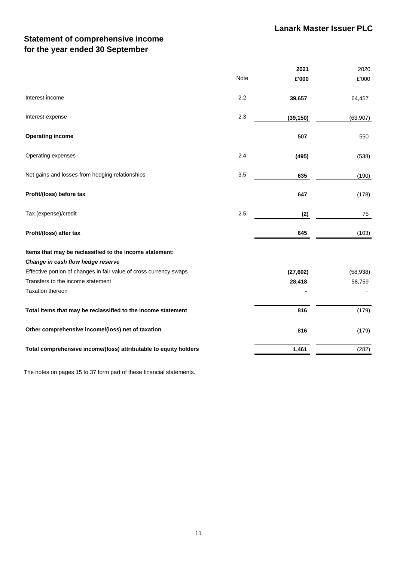# **Statement of comprehensive income for the year ended 30 September**

|                                                                    |      | 2021      | 2020      |
|--------------------------------------------------------------------|------|-----------|-----------|
|                                                                    | Note | £'000     | £'000     |
| Interest income                                                    | 2.2  | 39,657    | 64,457    |
| Interest expense                                                   | 2.3  | (39, 150) | (63, 907) |
| <b>Operating income</b>                                            |      | 507       | 550       |
| Operating expenses                                                 | 2.4  | (495)     | (538)     |
| Net gains and losses from hedging relationships                    | 3.5  | 635       | (190)     |
| Profit/(loss) before tax                                           |      | 647       | (178)     |
| Tax (expense)/credit                                               | 2.5  | (2)       | 75        |
| Profit/(loss) after tax                                            |      | 645       | (103)     |
| Items that may be reclassified to the income statement:            |      |           |           |
| Change in cash flow hedge reserve                                  |      |           |           |
| Effective portion of changes in fair value of cross currency swaps |      | (27, 602) | (58, 938) |
| Transfers to the income statement                                  |      | 28,418    | 58,759    |
| <b>Taxation thereon</b>                                            |      |           |           |
| Total items that may be reclassified to the income statement       |      | 816       | (179)     |
| Other comprehensive income/(loss) net of taxation                  |      | 816       | (179)     |
| Total comprehensive income/(loss) attributable to equity holders   |      | 1,461     | (282)     |
|                                                                    |      |           |           |

The notes on pages 15 to 37 form part of these financial statements.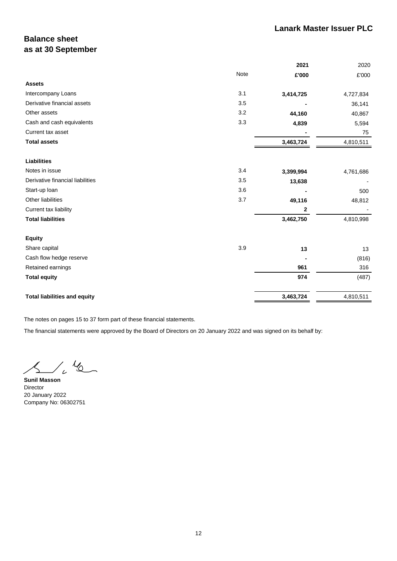### **Lanark Master Issuer PLC**

# **Balance sheet as at 30 September**

|                                     |      | 2021        | 2020      |
|-------------------------------------|------|-------------|-----------|
|                                     | Note | £'000       | £'000     |
| <b>Assets</b>                       |      |             |           |
| Intercompany Loans                  | 3.1  | 3,414,725   | 4,727,834 |
| Derivative financial assets         | 3.5  |             | 36,141    |
| Other assets                        | 3.2  | 44,160      | 40,867    |
| Cash and cash equivalents           | 3.3  | 4,839       | 5,594     |
| Current tax asset                   |      |             | 75        |
| <b>Total assets</b>                 |      | 3,463,724   | 4,810,511 |
| <b>Liabilities</b>                  |      |             |           |
| Notes in issue                      | 3.4  | 3,399,994   | 4,761,686 |
| Derivative financial liabilities    | 3.5  | 13,638      |           |
| Start-up loan                       | 3.6  |             | 500       |
| Other liabilities                   | 3.7  | 49,116      | 48,812    |
| Current tax liability               |      | $\mathbf 2$ |           |
| <b>Total liabilities</b>            |      | 3,462,750   | 4,810,998 |
| <b>Equity</b>                       |      |             |           |
| Share capital                       | 3.9  | 13          | 13        |
| Cash flow hedge reserve             |      |             | (816)     |
| Retained earnings                   |      | 961         | 316       |
| <b>Total equity</b>                 |      | 974         | (487)     |
| <b>Total liabilities and equity</b> |      | 3,463,724   | 4,810,511 |

The notes on pages 15 to 37 form part of these financial statements.

The financial statements were approved by the Board of Directors on 20 January 2022 and was signed on its behalf by:

 $2/14$ 

**Sunil Masson** Director 20 January 2022 Company No: 06302751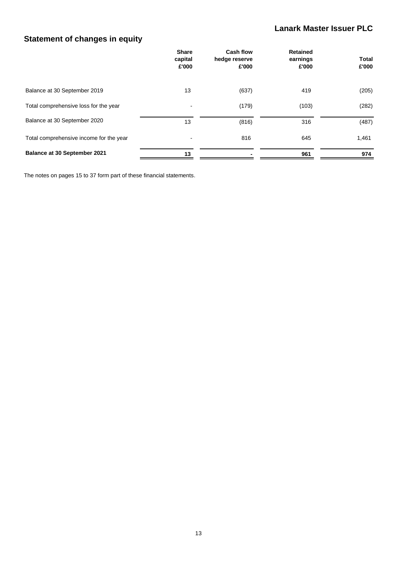# **Lanark Master Issuer PLC**

# **Statement of changes in equity**

|                                         | <b>Share</b><br>capital<br>£'000 | <b>Cash flow</b><br>hedge reserve<br>£'000 | <b>Retained</b><br>earnings<br>£'000 | Total<br>£'000 |
|-----------------------------------------|----------------------------------|--------------------------------------------|--------------------------------------|----------------|
| Balance at 30 September 2019            | 13                               | (637)                                      | 419                                  | (205)          |
| Total comprehensive loss for the year   |                                  | (179)                                      | (103)                                | (282)          |
| Balance at 30 September 2020            | 13                               | (816)                                      | 316                                  | (487)          |
| Total comprehensive income for the year |                                  | 816                                        | 645                                  | 1,461          |
| <b>Balance at 30 September 2021</b>     | 13                               |                                            | 961                                  | 974            |

The notes on pages 15 to 37 form part of these financial statements.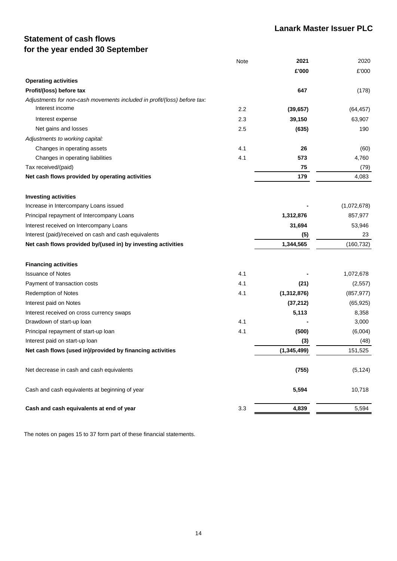# **Statement of cash flows for the year ended 30 September**

| <b>Operating activities</b><br>Profit/(loss) before tax<br>Adjustments for non-cash movements included in profit/(loss) before tax:<br>Interest income<br>Interest expense<br>Net gains and losses<br>Adjustments to working capital:<br>Changes in operating assets<br>Changes in operating liabilities | 2.2<br>2.3<br>2.5<br>4.1<br>4.1 | £'000<br>647<br>(39, 657)<br>39,150<br>(635)<br>26<br>573<br>75<br>179 | £'000<br>(178)<br>(64, 457)<br>63,907<br>190<br>(60)<br>4,760<br>(79) |
|----------------------------------------------------------------------------------------------------------------------------------------------------------------------------------------------------------------------------------------------------------------------------------------------------------|---------------------------------|------------------------------------------------------------------------|-----------------------------------------------------------------------|
|                                                                                                                                                                                                                                                                                                          |                                 |                                                                        |                                                                       |
|                                                                                                                                                                                                                                                                                                          |                                 |                                                                        |                                                                       |
|                                                                                                                                                                                                                                                                                                          |                                 |                                                                        |                                                                       |
|                                                                                                                                                                                                                                                                                                          |                                 |                                                                        |                                                                       |
|                                                                                                                                                                                                                                                                                                          |                                 |                                                                        |                                                                       |
|                                                                                                                                                                                                                                                                                                          |                                 |                                                                        |                                                                       |
|                                                                                                                                                                                                                                                                                                          |                                 |                                                                        |                                                                       |
|                                                                                                                                                                                                                                                                                                          |                                 |                                                                        |                                                                       |
|                                                                                                                                                                                                                                                                                                          |                                 |                                                                        |                                                                       |
|                                                                                                                                                                                                                                                                                                          |                                 |                                                                        |                                                                       |
| Tax received/(paid)                                                                                                                                                                                                                                                                                      |                                 |                                                                        |                                                                       |
| Net cash flows provided by operating activities                                                                                                                                                                                                                                                          |                                 |                                                                        | 4,083                                                                 |
| <b>Investing activities</b>                                                                                                                                                                                                                                                                              |                                 |                                                                        |                                                                       |
| Increase in Intercompany Loans issued                                                                                                                                                                                                                                                                    |                                 |                                                                        | (1,072,678)                                                           |
| Principal repayment of Intercompany Loans                                                                                                                                                                                                                                                                |                                 | 1,312,876                                                              | 857,977                                                               |
| Interest received on Intercompany Loans                                                                                                                                                                                                                                                                  |                                 | 31,694                                                                 | 53,946                                                                |
| Interest (paid)/received on cash and cash equivalents                                                                                                                                                                                                                                                    |                                 | (5)                                                                    | 23                                                                    |
| Net cash flows provided by/(used in) by investing activities                                                                                                                                                                                                                                             |                                 | 1,344,565                                                              | (160, 732)                                                            |
| <b>Financing activities</b>                                                                                                                                                                                                                                                                              |                                 |                                                                        |                                                                       |
| <b>Issuance of Notes</b>                                                                                                                                                                                                                                                                                 | 4.1                             |                                                                        | 1,072,678                                                             |
| Payment of transaction costs                                                                                                                                                                                                                                                                             | 4.1                             | (21)                                                                   | (2, 557)                                                              |
| <b>Redemption of Notes</b>                                                                                                                                                                                                                                                                               | 4.1                             | (1,312,876)                                                            | (857, 977)                                                            |
| Interest paid on Notes                                                                                                                                                                                                                                                                                   |                                 | (37, 212)                                                              | (65, 925)                                                             |
| Interest received on cross currency swaps                                                                                                                                                                                                                                                                |                                 | 5,113                                                                  | 8,358                                                                 |
| Drawdown of start-up loan                                                                                                                                                                                                                                                                                | 4.1                             |                                                                        | 3,000                                                                 |
| Principal repayment of start-up loan                                                                                                                                                                                                                                                                     | 4.1                             | (500)                                                                  | (6,004)                                                               |
| Interest paid on start-up loan                                                                                                                                                                                                                                                                           |                                 | (3)                                                                    | (48)                                                                  |
| Net cash flows (used in)/provided by financing activities                                                                                                                                                                                                                                                |                                 | (1, 345, 499)                                                          | 151,525                                                               |
| Net decrease in cash and cash equivalents                                                                                                                                                                                                                                                                |                                 | (755)                                                                  | (5, 124)                                                              |
| Cash and cash equivalents at beginning of year                                                                                                                                                                                                                                                           |                                 | 5,594                                                                  | 10,718                                                                |
| Cash and cash equivalents at end of year                                                                                                                                                                                                                                                                 | 3.3                             | 4,839                                                                  | 5,594                                                                 |

The notes on pages 15 to 37 form part of these financial statements.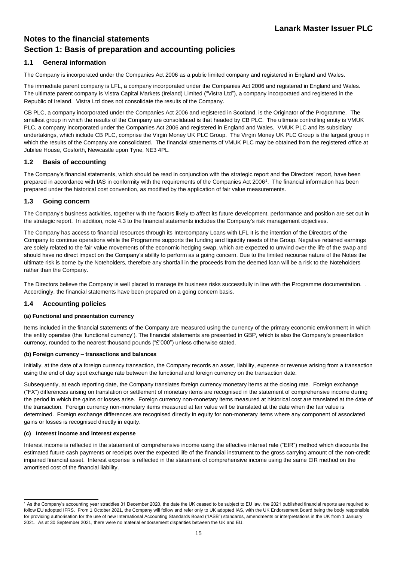# **Notes to the financial statements Section 1: Basis of preparation and accounting policies**

### **1.1 General information**

The Company is incorporated under the Companies Act 2006 as a public limited company and registered in England and Wales.

The immediate parent company is LFL, a company incorporated under the Companies Act 2006 and registered in England and Wales. The ultimate parent company is Vistra Capital Markets (Ireland) Limited ("Vistra Ltd"), a company incorporated and registered in the Republic of Ireland. Vistra Ltd does not consolidate the results of the Company.

CB PLC, a company incorporated under the Companies Act 2006 and registered in Scotland, is the Originator of the Programme. The smallest group in which the results of the Company are consolidated is that headed by CB PLC. The ultimate controlling entity is VMUK PLC, a company incorporated under the Companies Act 2006 and registered in England and Wales. VMUK PLC and its subsidiary undertakings, which include CB PLC, comprise the Virgin Money UK PLC Group. The Virgin Money UK PLC Group is the largest group in which the results of the Company are consolidated. The financial statements of VMUK PLC may be obtained from the registered office at Jubilee House, Gosforth, Newcastle upon Tyne, NE3 4PL.

### **1.2 Basis of accounting**

The Company's financial statements, which should be read in conjunction with the strategic report and the Directors' report, have been prepared in accordance with IAS in conformity with the requirements of the Companies Act 2006<sup>1</sup>. The financial information has been prepared under the historical cost convention, as modified by the application of fair value measurements.

### **1.3 Going concern**

The Company's business activities, together with the factors likely to affect its future development, performance and position are set out in the strategic report. In addition, note 4.3 to the financial statements includes the Company's risk management objectives.

The Company has access to financial resources through its Intercompany Loans with LFL It is the intention of the Directors of the Company to continue operations while the Programme supports the funding and liquidity needs of the Group. Negative retained earnings are solely related to the fair value movements of the economic hedging swap, which are expected to unwind over the life of the swap and should have no direct impact on the Company's ability to perform as a going concern. Due to the limited recourse nature of the Notes the ultimate risk is borne by the Noteholders, therefore any shortfall in the proceeds from the deemed loan will be a risk to the Noteholders rather than the Company.

The Directors believe the Company is well placed to manage its business risks successfully in line with the Programme documentation. . Accordingly, the financial statements have been prepared on a going concern basis.

### **1.4 Accounting policies**

#### **(a) Functional and presentation currency**

Items included in the financial statements of the Company are measured using the currency of the primary economic environment in which the entity operates (the 'functional currency'). The financial statements are presented in GBP, which is also the Company's presentation currency, rounded to the nearest thousand pounds ("£'000") unless otherwise stated.

#### **(b) Foreign currency – transactions and balances**

Initially, at the date of a foreign currency transaction, the Company records an asset, liability, expense or revenue arising from a transaction using the end of day spot exchange rate between the functional and foreign currency on the transaction date.

Subsequently, at each reporting date, the Company translates foreign currency monetary items at the closing rate. Foreign exchange ("FX") differences arising on translation or settlement of monetary items are recognised in the statement of comprehensive income during the period in which the gains or losses arise. Foreign currency non-monetary items measured at historical cost are translated at the date of the transaction. Foreign currency non-monetary items measured at fair value will be translated at the date when the fair value is determined. Foreign exchange differences are recognised directly in equity for non-monetary items where any component of associated gains or losses is recognised directly in equity.

#### **(c) Interest income and interest expense**

Interest income is reflected in the statement of comprehensive income using the effective interest rate ("EIR") method which discounts the estimated future cash payments or receipts over the expected life of the financial instrument to the gross carrying amount of the non-credit impaired financial asset. Interest expense is reflected in the statement of comprehensive income using the same EIR method on the amortised cost of the financial liability.

**<sup>1</sup>** As the Company's accounting year straddles 31 December 2020, the date the UK ceased to be subject to EU law, the 2021 published financial reports are required to follow EU adopted IFRS. From 1 October 2021, the Company will follow and refer only to UK adopted IAS, with the UK Endorsement Board being the body responsible for providing authorisation for the use of new International Accounting Standards Board ("IASB") standards, amendments or interpretations in the UK from 1 January 2021. As at 30 September 2021, there were no material endorsement disparities between the UK and EU.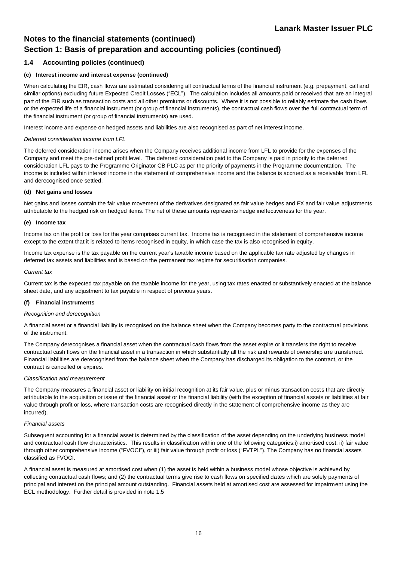### **1.4 Accounting policies (continued)**

#### **(c) Interest income and interest expense (continued)**

When calculating the EIR, cash flows are estimated considering all contractual terms of the financial instrument (e.g. prepayment, call and similar options) excluding future Expected Credit Losses ("ECL"). The calculation includes all amounts paid or received that are an integral part of the EIR such as transaction costs and all other premiums or discounts. Where it is not possible to reliably estimate the cash flows or the expected life of a financial instrument (or group of financial instruments), the contractual cash flows over the full contractual term of the financial instrument (or group of financial instruments) are used.

Interest income and expense on hedged assets and liabilities are also recognised as part of net interest income.

#### *Deferred consideration income from LFL*

The deferred consideration income arises when the Company receives additional income from LFL to provide for the expenses of the Company and meet the pre-defined profit level. The deferred consideration paid to the Company is paid in priority to the deferred consideration LFL pays to the Programme Originator CB PLC as per the priority of payments in the Programme documentation. The income is included within interest income in the statement of comprehensive income and the balance is accrued as a receivable from LFL and derecognised once settled.

#### **(d) Net gains and losses**

Net gains and losses contain the fair value movement of the derivatives designated as fair value hedges and FX and fair value adjustments attributable to the hedged risk on hedged items. The net of these amounts represents hedge ineffectiveness for the year.

#### **(e) Income tax**

Income tax on the profit or loss for the year comprises current tax. Income tax is recognised in the statement of comprehensive income except to the extent that it is related to items recognised in equity, in which case the tax is also recognised in equity.

Income tax expense is the tax payable on the current year's taxable income based on the applicable tax rate adjusted by changes in deferred tax assets and liabilities and is based on the permanent tax regime for securitisation companies.

#### *Current tax*

Current tax is the expected tax payable on the taxable income for the year, using tax rates enacted or substantively enacted at the balance sheet date, and any adjustment to tax payable in respect of previous years.

#### **(f) Financial instruments**

#### *Recognition and derecognition*

A financial asset or a financial liability is recognised on the balance sheet when the Company becomes party to the contractual provisions of the instrument.

The Company derecognises a financial asset when the contractual cash flows from the asset expire or it transfers the right to receive contractual cash flows on the financial asset in a transaction in which substantially all the risk and rewards of ownership are transferred. Financial liabilities are derecognised from the balance sheet when the Company has discharged its obligation to the contract, or the contract is cancelled or expires.

#### *Classification and measurement*

The Company measures a financial asset or liability on initial recognition at its fair value, plus or minus transaction costs that are directly attributable to the acquisition or issue of the financial asset or the financial liability (with the exception of financial assets or liabilities at fair value through profit or loss, where transaction costs are recognised directly in the statement of comprehensive income as they are incurred).

#### *Financial assets*

Subsequent accounting for a financial asset is determined by the classification of the asset depending on the underlying business model and contractual cash flow characteristics. This results in classification within one of the following categories:i) amortised cost, ii) fair value through other comprehensive income ("FVOCI"), or iii) fair value through profit or loss ("FVTPL"). The Company has no financial assets classified as FVOCI.

A financial asset is measured at amortised cost when (1) the asset is held within a business model whose objective is achieved by collecting contractual cash flows; and (2) the contractual terms give rise to cash flows on specified dates which are solely payments of principal and interest on the principal amount outstanding. Financial assets held at amortised cost are assessed for impairment using the ECL methodology. Further detail is provided in note 1.5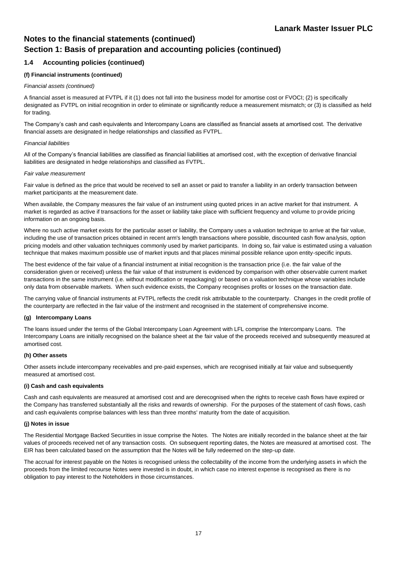### **1.4 Accounting policies (continued)**

#### **(f) Financial instruments (continued)**

#### *Financial assets (continued)*

A financial asset is measured at FVTPL if it (1) does not fall into the business model for amortise cost or FVOCI; (2) is specifically designated as FVTPL on initial recognition in order to eliminate or significantly reduce a measurement mismatch; or (3) is classified as held for trading.

The Company's cash and cash equivalents and Intercompany Loans are classified as financial assets at amortised cost. The derivative financial assets are designated in hedge relationships and classified as FVTPL.

#### *Financial liabilities*

All of the Company's financial liabilities are classified as financial liabilities at amortised cost, with the exception of derivative financial liabilities are designated in hedge relationships and classified as FVTPL.

#### *Fair value measurement*

Fair value is defined as the price that would be received to sell an asset or paid to transfer a liability in an orderly transaction between market participants at the measurement date.

When available, the Company measures the fair value of an instrument using quoted prices in an active market for that instrument. A market is regarded as active if transactions for the asset or liability take place with sufficient frequency and volume to provide pricing information on an ongoing basis.

Where no such active market exists for the particular asset or liability, the Company uses a valuation technique to arrive at the fair value, including the use of transaction prices obtained in recent arm's length transactions where possible, discounted cash flow analysis, option pricing models and other valuation techniques commonly used by market participants. In doing so, fair value is estimated using a valuation technique that makes maximum possible use of market inputs and that places minimal possible reliance upon entity-specific inputs.

The best evidence of the fair value of a financial instrument at initial recognition is the transaction price (i.e. the fair value of the consideration given or received) unless the fair value of that instrument is evidenced by comparison with other observable current market transactions in the same instrument (i.e. without modification or repackaging) or based on a valuation technique whose variables include only data from observable markets. When such evidence exists, the Company recognises profits or losses on the transaction date.

The carrying value of financial instruments at FVTPL reflects the credit risk attributable to the counterparty. Changes in the credit profile of the counterparty are reflected in the fair value of the instrment and recognised in the statement of comprehensive income.

#### **(g) Intercompany Loans**

The loans issued under the terms of the Global Intercompany Loan Agreement with LFL comprise the Intercompany Loans. The Intercompany Loans are initially recognised on the balance sheet at the fair value of the proceeds received and subsequently measured at amortised cost.

### **(h) Other assets**

Other assets include intercompany receivables and pre-paid expenses, which are recognised initially at fair value and subsequently measured at amortised cost.

#### **(i) Cash and cash equivalents**

Cash and cash equivalents are measured at amortised cost and are derecognised when the rights to receive cash flows have expired or the Company has transferred substantially all the risks and rewards of ownership. For the purposes of the statement of cash flows, cash and cash equivalents comprise balances with less than three months' maturity from the date of acquisition.

#### **(j) Notes in issue**

The Residential Mortgage Backed Securities in issue comprise the Notes. The Notes are initially recorded in the balance sheet at the fair values of proceeds received net of any transaction costs. On subsequent reporting dates, the Notes are measured at amortised cost. The EIR has been calculated based on the assumption that the Notes will be fully redeemed on the step-up date.

The accrual for interest payable on the Notes is recognised unless the collectability of the income from the underlying assets in which the proceeds from the limited recourse Notes were invested is in doubt, in which case no interest expense is recognised as there is no obligation to pay interest to the Noteholders in those circumstances.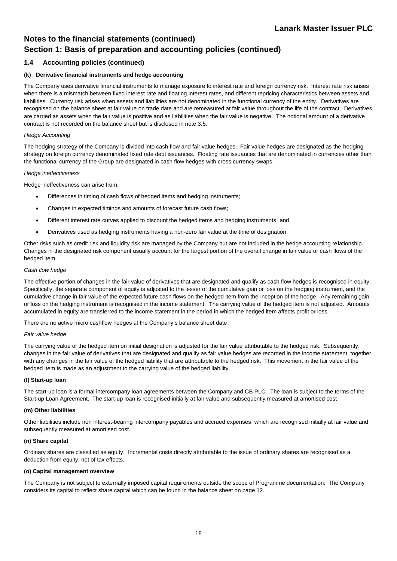### **1.4 Accounting policies (continued)**

#### **(k) Derivative financial instruments and hedge accounting**

The Company uses derivative financial instruments to manage exposure to interest rate and foreign currency risk. Interest rate risk arises when there is a mismatch between fixed interest rate and floating interest rates, and different repricing characteristics between assets and liabilities. Currency risk arises when assets and liabilities are not denominated in the functional currency of the entity. Derivatives are recognised on the balance sheet at fair value on trade date and are remeasured at fair value throughout the life of the contract. Derivatives are carried as assets when the fair value is positive and as liabilities when the fair value is negative. The notional amount of a derivative contract is not recorded on the balance sheet but is disclosed in note 3.5.

#### *Hedge Accounting*

The hedging strategy of the Company is divided into cash flow and fair value hedges. Fair value hedges are designated as the hedging strategy on foreign currency denominated fixed rate debt issuances. Floating rate issuances that are denominated in currencies other than the functional currency of the Group are designated in cash flow hedges with cross currency swaps.

#### *Hedge ineffectiveness*

Hedge ineffectiveness can arise from:

- Differences in timing of cash flows of hedged items and hedging instruments;
- Changes in expected timings and amounts of forecast future cash flows;
- Different interest rate curves applied to discount the hedged items and hedging instruments; and
- Derivatives used as hedging instruments having a non-zero fair value at the time of designation.

Other risks such as credit risk and liquidity risk are managed by the Company but are not included in the hedge accounting relationship. Changes in the designated risk component usually account for the largest portion of the overall change in fair value or cash flows of the hedged item.

#### *Cash flow hedge*

The effective portion of changes in the fair value of derivatives that are designated and qualify as cash flow hedges is recognised in equity. Specifically, the separate component of equity is adjusted to the lesser of the cumulative gain or loss on the hedging instrument, and the cumulative change in fair value of the expected future cash flows on the hedged item from the inception of the hedge. Any remaining gain or loss on the hedging instrument is recognised in the income statement. The carrying value of the hedged item is not adjusted. Amounts accumulated in equity are transferred to the income statement in the period in which the hedged item affects profit or loss.

There are no active micro cashflow hedges at the Company's balance sheet date.

#### *Fair value hedge*

The carrying value of the hedged item on initial designation is adjusted for the fair value attributable to the hedged risk. Subsequently, changes in the fair value of derivatives that are designated and qualify as fair value hedges are recorded in the income statement, together with any changes in the fair value of the hedged liability that are attributable to the hedged risk. This movement in the fair value of the hedged item is made as an adjustment to the carrying value of the hedged liability.

#### **(l) Start-up loan**

The start-up loan is a formal intercompany loan agreements between the Company and CB PLC. The loan is subject to the terms of the Start-up Loan Agreement. The start-up loan is recognised initially at fair value and subsequently measured at amortised cost.

#### **(m) Other liabilities**

Other liabilities include non interest-bearing intercompany payables and accrued expenses, which are recognised initially at fair value and subsequently measured at amortised cost.

#### **(n) Share capital**

Ordinary shares are classified as equity. Incremental costs directly attributable to the issue of ordinary shares are recognised as a deduction from equity, net of tax effects.

### **(o) Capital management overview**

The Company is not subject to externally imposed capital requirements outside the scope of Programme documentation. The Company considers its capital to reflect share capital which can be found in the balance sheet on page 12.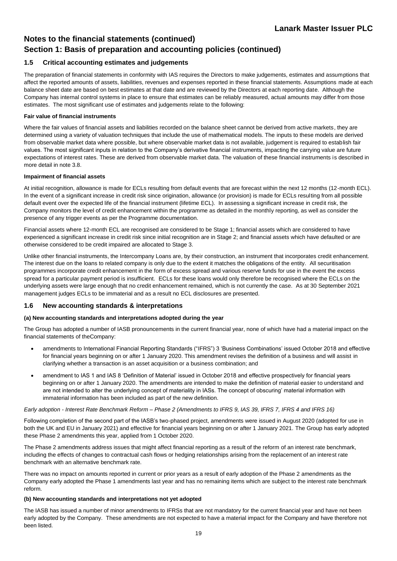### **1.5 Critical accounting estimates and judgements**

The preparation of financial statements in conformity with IAS requires the Directors to make judgements, estimates and assumptions that affect the reported amounts of assets, liabilities, revenues and expenses reported in these financial statements. Assumptions made at each balance sheet date are based on best estimates at that date and are reviewed by the Directors at each reporting date. Although the Company has internal control systems in place to ensure that estimates can be reliably measured, actual amounts may differ from those estimates. The most significant use of estimates and judgements relate to the following:

#### **Fair value of financial instruments**

Where the fair values of financial assets and liabilities recorded on the balance sheet cannot be derived from active markets, they are determined using a variety of valuation techniques that include the use of mathematical models. The inputs to these models are derived from observable market data where possible, but where observable market data is not available, judgement is required to establish fair values. The most significant inputs in relation to the Company's derivative financial instruments, impacting the carrying value are future expectations of interest rates. These are derived from observable market data. The valuation of these financial instruments is described in more detail in note 3.8.

#### **Impairment of financial assets**

At initial recognition, allowance is made for ECLs resulting from default events that are forecast within the next 12 months (12-month ECL). In the event of a significant increase in credit risk since origination, allowance (or provision) is made for ECLs resulting from all possible default event over the expected life of the financial instrument (lifetime ECL). In assessing a significant increase in credit risk, the Company monitors the level of credit enhancement within the programme as detailed in the monthly reporting, as well as consider the presence of any trigger events as per the Programme documentation.

Financial assets where 12-month ECL are recognised are considered to be Stage 1; financial assets which are considered to have experienced a significant increase in credit risk since initial recognition are in Stage 2; and financial assets which have defaulted or are otherwise considered to be credit impaired are allocated to Stage 3.

Unlike other financial instruments, the Intercompany Loans are, by their construction, an instrument that incorporates credit enhancement. The interest due on the loans to related company is only due to the extent it matches the obligations of the entity. All securitisation programmes incorporate credit enhancement in the form of excess spread and various reserve funds for use in the event the excess spread for a particular payment period is insufficient. ECLs for these loans would only therefore be recognised where the ECLs on the underlying assets were large enough that no credit enhancement remained, which is not currently the case. As at 30 September 2021 management judges ECLs to be immaterial and as a result no ECL disclosures are presented.

#### **1.6 New accounting standards & interpretations**

#### **(a) New accounting standards and interpretations adopted during the year**

The Group has adopted a number of IASB pronouncements in the current financial year, none of which have had a material impact on the financial statements of theCompany:

- amendments to International Financial Reporting Standards ("IFRS") 3 'Business Combinations' issued October 2018 and effective for financial years beginning on or after 1 January 2020. This amendment revises the definition of a business and will assist in clarifying whether a transaction is an asset acquisition or a business combination; and
- amendment to IAS 1 and IAS 8 'Definition of Material' issued in October 2018 and effective prospectively for financial years beginning on or after 1 January 2020. The amendments are intended to make the definition of material easier to understand and are not intended to alter the underlying concept of materiality in IASs. The concept of obscuring' material information with immaterial information has been included as part of the new definition.

#### *Early adoption - Interest Rate Benchmark Reform – Phase 2 (Amendments to IFRS 9, IAS 39, IFRS 7, IFRS 4 and IFRS 16)*

Following completion of the second part of the IASB's two-phased project, amendments were issued in August 2020 (adopted for use in both the UK and EU in January 2021) and effective for financial years beginning on or after 1 January 2021. The Group has early adopted these Phase 2 amendments this year, applied from 1 October 2020.

The Phase 2 amendments address issues that might affect financial reporting as a result of the reform of an interest rate benchmark, including the effects of changes to contractual cash flows or hedging relationships arising from the replacement of an interest rate benchmark with an alternative benchmark rate.

There was no impact on amounts reported in current or prior years as a result of early adoption of the Phase 2 amendments as the Company early adopted the Phase 1 amendments last year and has no remaining items which are subject to the interest rate benchmark reform.

#### **(b) New accounting standards and interpretations not yet adopted**

The IASB has issued a number of minor amendments to IFRSs that are not mandatory for the current financial year and have not been early adopted by the Company. These amendments are not expected to have a material impact for the Company and have therefore not been listed.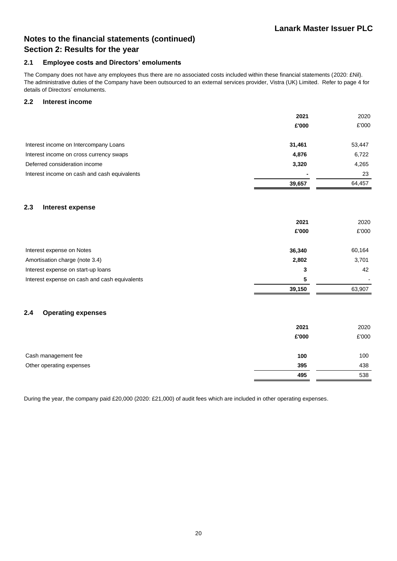# **Notes to the financial statements (continued) Section 2: Results for the year**

### **2.1 Employee costs and Directors' emoluments**

The Company does not have any employees thus there are no associated costs included within these financial statements (2020: £Nil). The administrative duties of the Company have been outsourced to an external services provider, Vistra (UK) Limited. Refer to page 4 for details of Directors' emoluments.

### **2.2 Interest income**

|                                              | 2021           | 2020   |
|----------------------------------------------|----------------|--------|
|                                              | £'000          | £'000  |
| Interest income on Intercompany Loans        | 31,461         | 53,447 |
| Interest income on cross currency swaps      | 4,876          | 6,722  |
| Deferred consideration income                | 3,320          | 4,265  |
| Interest income on cash and cash equivalents | $\blacksquare$ | 23     |
|                                              | 39,657         | 64,457 |
|                                              |                |        |

#### **2.3 Interest expense**

|                                               | 2021   | 2020           |
|-----------------------------------------------|--------|----------------|
|                                               | £'000  | £'000          |
| Interest expense on Notes                     | 36,340 | 60,164         |
| Amortisation charge (note 3.4)                | 2,802  | 3,701          |
| Interest expense on start-up loans            | 3      | 42             |
| Interest expense on cash and cash equivalents | 5      | $\blacksquare$ |
|                                               | 39,150 | 63,907         |

### **2.4 Operating expenses**

|                          | 2021  | 2020  |
|--------------------------|-------|-------|
|                          | £'000 | £'000 |
| Cash management fee      | 100   | 100   |
| Other operating expenses | 395   | 438   |
|                          | 495   | 538   |
|                          |       |       |

During the year, the company paid £20,000 (2020: £21,000) of audit fees which are included in other operating expenses.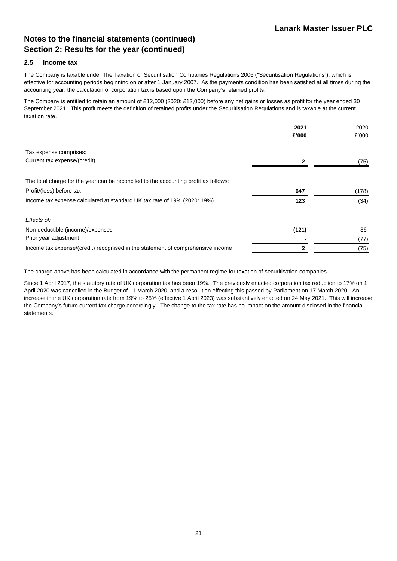# **Notes to the financial statements (continued) Section 2: Results for the year (continued)**

### **2.5 Income tax**

The Company is taxable under The Taxation of Securitisation Companies Regulations 2006 ("Securitisation Regulations"), which is effective for accounting periods beginning on or after 1 January 2007. As the payments condition has been satisfied at all times during the accounting year, the calculation of corporation tax is based upon the Company's retained profits.

The Company is entitled to retain an amount of £12,000 (2020: £12,000) before any net gains or losses as profit for the year ended 30 September 2021. This profit meets the definition of retained profits under the Securitisation Regulations and is taxable at the current taxation rate.

|                                                                                      | 2021  | 2020  |
|--------------------------------------------------------------------------------------|-------|-------|
|                                                                                      | £'000 | £'000 |
| Tax expense comprises:                                                               |       |       |
| Current tax expense/(credit)                                                         |       | (75)  |
| The total charge for the year can be reconciled to the accounting profit as follows: |       |       |
| Profit/(loss) before tax                                                             | 647   | (178) |
| Income tax expense calculated at standard UK tax rate of 19% (2020: 19%)             | 123   | (34)  |
| Effects of:                                                                          |       |       |
| Non-deductible (income)/expenses                                                     | (121) | 36    |
| Prior year adjustment                                                                |       | (77)  |
| Income tax expense/(credit) recognised in the statement of comprehensive income      | 2     | (75)  |

The charge above has been calculated in accordance with the permanent regime for taxation of securitisation companies.

Since 1 April 2017, the statutory rate of UK corporation tax has been 19%. The previously enacted corporation tax reduction to 17% on 1 April 2020 was cancelled in the Budget of 11 March 2020, and a resolution effecting this passed by Parliament on 17 March 2020. An increase in the UK corporation rate from 19% to 25% (effective 1 April 2023) was substantively enacted on 24 May 2021. This will increase the Company's future current tax charge accordingly. The change to the tax rate has no impact on the amount disclosed in the financial statements.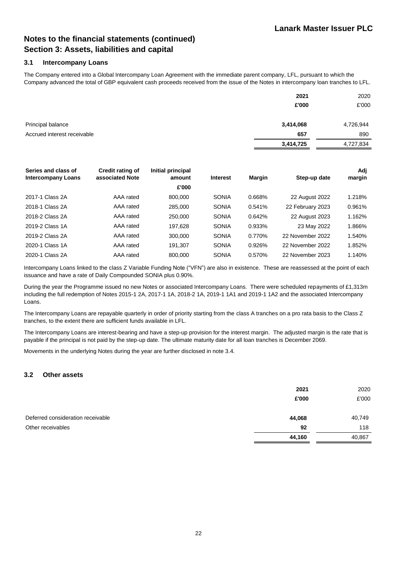### **3.1 Intercompany Loans**

The Company entered into a Global Intercompany Loan Agreement with the immediate parent company, LFL, pursuant to which the Company advanced the total of GBP equivalent cash proceeds received from the issue of the Notes in intercompany loan tranches to LFL.

|                             | 2021<br>£'000 | 2020<br>£'000 |
|-----------------------------|---------------|---------------|
| Principal balance           | 3,414,068     | 4,726,944     |
| Accrued interest receivable | 657           | 890           |
|                             | 3,414,725     | 4,727,834     |

| Series and class of<br><b>Intercompany Loans</b> | Credit rating of<br>associated Note | Initial principal<br>amount | <b>Interest</b> | <b>Margin</b> | Step-up date     | Adi<br>margin |
|--------------------------------------------------|-------------------------------------|-----------------------------|-----------------|---------------|------------------|---------------|
|                                                  |                                     | £'000                       |                 |               |                  |               |
| 2017-1 Class 2A                                  | AAA rated                           | 800,000                     | <b>SONIA</b>    | 0.668%        | 22 August 2022   | 1.218%        |
| 2018-1 Class 2A                                  | AAA rated                           | 285,000                     | <b>SONIA</b>    | 0.541%        | 22 February 2023 | 0.961%        |
| 2018-2 Class 2A                                  | AAA rated                           | 250,000                     | <b>SONIA</b>    | 0.642%        | 22 August 2023   | 1.162%        |
| 2019-2 Class 1A                                  | AAA rated                           | 197,628                     | <b>SONIA</b>    | 0.933%        | 23 May 2022      | 1.866%        |
| 2019-2 Class 2A                                  | AAA rated                           | 300,000                     | <b>SONIA</b>    | 0.770%        | 22 November 2022 | 1.540%        |
| 2020-1 Class 1A                                  | AAA rated                           | 191.307                     | SONIA           | 0.926%        | 22 November 2022 | 1.852%        |
| 2020-1 Class 2A                                  | AAA rated                           | 800,000                     | <b>SONIA</b>    | 0.570%        | 22 November 2023 | 1.140%        |

Intercompany Loans linked to the class Z Variable Funding Note ("VFN") are also in existence. These are reassessed at the point of each issuance and have a rate of Daily Compounded SONIA plus 0.90%.

During the year the Programme issued no new Notes or associated Intercompany Loans. There were scheduled repayments of £1,313m including the full redemption of Notes 2015-1 2A, 2017-1 1A, 2018-2 1A, 2019-1 1A1 and 2019-1 1A2 and the associated Intercompany Loans.

The Intercompany Loans are repayable quarterly in order of priority starting from the class A tranches on a pro rata basis to the Class Z tranches, to the extent there are sufficient funds available in LFL.

The Intercompany Loans are interest-bearing and have a step-up provision for the interest margin. The adjusted margin is the rate that is payable if the principal is not paid by the step-up date. The ultimate maturity date for all loan tranches is December 2069.

Movements in the underlying Notes during the year are further disclosed in note 3.4.

### **3.2 Other assets**

|                                   | 2021   | 2020   |
|-----------------------------------|--------|--------|
|                                   | £'000  | £'000  |
| Deferred consideration receivable | 44,068 | 40,749 |
| Other receivables                 | 92     | 118    |
|                                   | 44,160 | 40,867 |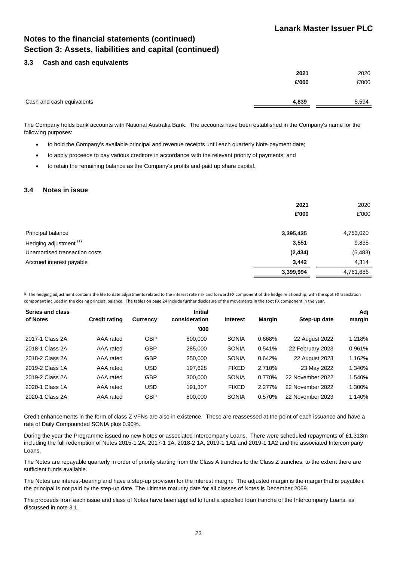### **3.3 Cash and cash equivalents**

|                           | 2021  | 2020  |
|---------------------------|-------|-------|
|                           | £'000 | £'000 |
| Cash and cash equivalents | 4,839 | 5,594 |
|                           |       |       |

The Company holds bank accounts with National Australia Bank. The accounts have been established in the Company's name for the following purposes:

- to hold the Company's available principal and revenue receipts until each quarterly Note payment date;
- to apply proceeds to pay various creditors in accordance with the relevant priority of payments; and
- to retain the remaining balance as the Company's profits and paid up share capital.

#### **3.4 Notes in issue**

|                                   | 2021<br>£'000 | 2020<br>£'000 |
|-----------------------------------|---------------|---------------|
| Principal balance                 | 3,395,435     | 4,753,020     |
| Hedging adjustment <sup>(1)</sup> | 3,551         | 9,835         |
| Unamortised transaction costs     | (2, 434)      | (5, 483)      |
| Accrued interest payable          | 3,442         | 4,314         |
|                                   | 3,399,994     | 4,761,686     |

(1) The hedging adjustment contains the life to date adjustments related to the interest rate risk and forward FX component of the hedge relationship, with the spot FX translation component included in the closing principal balance. The tables on page 24 include further disclosure of the movements in the spot FX component in the year.

| Series and class |                      |                 | <b>Initial</b> |                 |               |                  | Adj    |
|------------------|----------------------|-----------------|----------------|-----------------|---------------|------------------|--------|
| of Notes         | <b>Credit rating</b> | <b>Currency</b> | consideration  | <b>Interest</b> | <b>Margin</b> | Step-up date     | margin |
|                  |                      |                 | '000           |                 |               |                  |        |
| 2017-1 Class 2A  | AAA rated            | <b>GBP</b>      | 800,000        | <b>SONIA</b>    | 0.668%        | 22 August 2022   | 1.218% |
| 2018-1 Class 2A  | AAA rated            | <b>GBP</b>      | 285,000        | <b>SONIA</b>    | 0.541%        | 22 February 2023 | 0.961% |
| 2018-2 Class 2A  | AAA rated            | <b>GBP</b>      | 250,000        | <b>SONIA</b>    | 0.642%        | 22 August 2023   | 1.162% |
| 2019-2 Class 1A  | AAA rated            | <b>USD</b>      | 197,628        | <b>FIXED</b>    | 2.710%        | 23 May 2022      | 1.340% |
| 2019-2 Class 2A  | AAA rated            | <b>GBP</b>      | 300,000        | <b>SONIA</b>    | 0.770%        | 22 November 2022 | 1.540% |
| 2020-1 Class 1A  | AAA rated            | <b>USD</b>      | 191,307        | <b>FIXED</b>    | 2.277%        | 22 November 2022 | 1.300% |
| 2020-1 Class 2A  | AAA rated            | <b>GBP</b>      | 800,000        | SONIA           | 0.570%        | 22 November 2023 | 1.140% |

Credit enhancements in the form of class Z VFNs are also in existence. These are reassessed at the point of each issuance and have a rate of Daily Compounded SONIA plus 0.90%.

During the year the Programme issued no new Notes or associated Intercompany Loans. There were scheduled repayments of £1,313m including the full redemption of Notes 2015-1 2A, 2017-1 1A, 2018-2 1A, 2019-1 1A1 and 2019-1 1A2 and the associated Intercompany Loans.

The Notes are repayable quarterly in order of priority starting from the Class A tranches to the Class Z tranches, to the extent there are sufficient funds available.

The Notes are interest-bearing and have a step-up provision for the interest margin. The adjusted margin is the margin that is payable if the principal is not paid by the step-up date. The ultimate maturity date for all classes of Notes is December 2069.

The proceeds from each issue and class of Notes have been applied to fund a specified loan tranche of the Intercompany Loans, as discussed in note 3.1.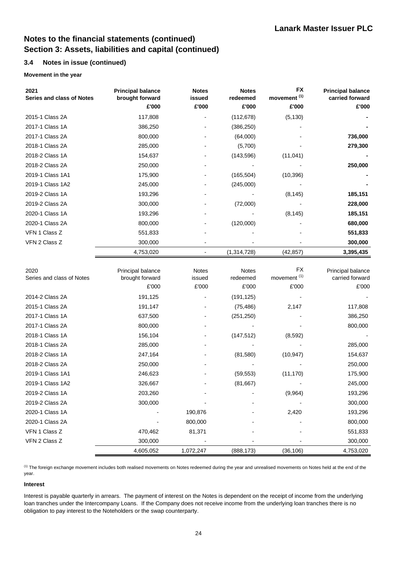### **3.4 Notes in issue (continued)**

**Movement in the year**

| 2021<br>Series and class of Notes    | <b>Principal balance</b><br>brought forward<br>£'000 | <b>Notes</b><br>issued<br>£'000 | <b>Notes</b><br>redeemed<br>£'000 | <b>FX</b><br>movement <sup>(1)</sup><br>£'000 | <b>Principal balance</b><br>carried forward<br>£'000 |
|--------------------------------------|------------------------------------------------------|---------------------------------|-----------------------------------|-----------------------------------------------|------------------------------------------------------|
| 2015-1 Class 2A                      | 117,808                                              |                                 | (112, 678)                        | (5, 130)                                      |                                                      |
| 2017-1 Class 1A                      | 386,250                                              |                                 | (386, 250)                        |                                               |                                                      |
| 2017-1 Class 2A                      | 800,000                                              |                                 | (64,000)                          |                                               | 736,000                                              |
| 2018-1 Class 2A                      | 285,000                                              |                                 | (5,700)                           |                                               | 279,300                                              |
| 2018-2 Class 1A                      | 154,637                                              |                                 | (143, 596)                        | (11, 041)                                     |                                                      |
| 2018-2 Class 2A                      | 250,000                                              |                                 |                                   |                                               | 250,000                                              |
| 2019-1 Class 1A1                     | 175,900                                              |                                 | (165, 504)                        | (10, 396)                                     |                                                      |
| 2019-1 Class 1A2                     | 245,000                                              |                                 | (245,000)                         |                                               |                                                      |
| 2019-2 Class 1A                      | 193,296                                              |                                 |                                   | (8, 145)                                      | 185,151                                              |
| 2019-2 Class 2A                      | 300,000                                              |                                 | (72,000)                          |                                               | 228,000                                              |
| 2020-1 Class 1A                      | 193,296                                              |                                 |                                   | (8, 145)                                      | 185,151                                              |
| 2020-1 Class 2A                      | 800,000                                              |                                 | (120,000)                         |                                               | 680,000                                              |
| VFN 1 Class Z                        | 551,833                                              |                                 |                                   |                                               | 551,833                                              |
| VFN 2 Class Z                        | 300,000                                              |                                 |                                   |                                               | 300,000                                              |
|                                      | 4,753,020                                            |                                 | (1,314,728)                       | (42, 857)                                     | 3,395,435                                            |
|                                      |                                                      |                                 |                                   |                                               |                                                      |
| 2020<br>Series and class of Notes    | Principal balance<br>brought forward<br>£'000        | Notes<br>issued<br>£'000        | Notes<br>redeemed                 | FX<br>movement $(1)$                          | Principal balance<br>carried forward                 |
|                                      |                                                      |                                 | £'000                             | £'000                                         | £'000                                                |
| 2014-2 Class 2A                      | 191,125                                              |                                 | (191, 125)                        |                                               |                                                      |
| 2015-1 Class 2A                      | 191,147                                              |                                 | (75, 486)                         | 2,147                                         | 117,808                                              |
| 2017-1 Class 1A                      | 637,500                                              |                                 | (251, 250)                        |                                               | 386,250                                              |
| 2017-1 Class 2A                      | 800,000                                              |                                 |                                   |                                               | 800,000                                              |
| 2018-1 Class 1A                      | 156,104                                              |                                 | (147, 512)                        | (8,592)                                       |                                                      |
| 2018-1 Class 2A                      | 285,000                                              |                                 |                                   |                                               | 285,000                                              |
| 2018-2 Class 1A                      | 247,164                                              |                                 | (81, 580)                         | (10, 947)                                     | 154,637                                              |
| 2018-2 Class 2A                      | 250,000                                              |                                 |                                   |                                               | 250,000                                              |
| 2019-1 Class 1A1<br>2019-1 Class 1A2 | 246,623                                              |                                 | (59, 553)                         | (11, 170)                                     | 175,900                                              |
|                                      | 326,667                                              |                                 | (81, 667)                         |                                               | 245,000                                              |
| 2019-2 Class 1A<br>2019-2 Class 2A   | 203,260<br>300,000                                   |                                 |                                   | (9,964)                                       | 193,296<br>300,000                                   |
|                                      |                                                      |                                 |                                   |                                               |                                                      |
| 2020-1 Class 1A                      |                                                      | 190,876                         |                                   | 2,420                                         | 193,296                                              |
| 2020-1 Class 2A                      | 470,462                                              | 800,000                         |                                   |                                               | 800,000                                              |
| VFN 1 Class Z<br>VFN 2 Class Z       | 300,000                                              | 81,371                          |                                   |                                               | 551,833<br>300,000                                   |
|                                      | 4,605,052                                            | 1,072,247                       | (888, 173)                        | (36, 106)                                     | 4,753,020                                            |

<sup>(1)</sup> The foreign exchange movement includes both realised movements on Notes redeemed during the year and unrealised movements on Notes held at the end of the year.

#### **Interest**

Interest is payable quarterly in arrears. The payment of interest on the Notes is dependent on the receipt of income from the underlying loan tranches under the Intercompany Loans. If the Company does not receive income from the underlying loan tranches there is no obligation to pay interest to the Noteholders or the swap counterparty.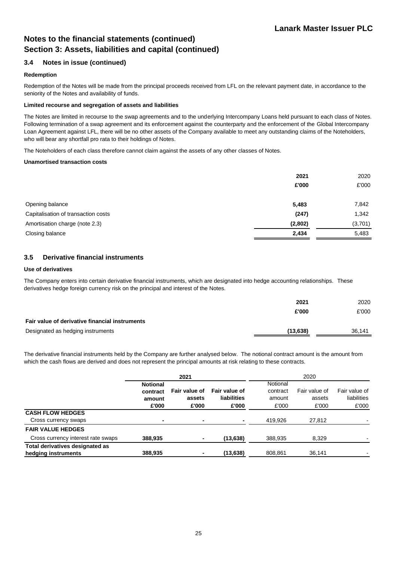### **3.4 Notes in issue (continued)**

#### **Redemption**

Redemption of the Notes will be made from the principal proceeds received from LFL on the relevant payment date, in accordance to the seniority of the Notes and availability of funds.

#### **Limited recourse and segregation of assets and liabilities**

The Notes are limited in recourse to the swap agreements and to the underlying Intercompany Loans held pursuant to each class of Notes. Following termination of a swap agreement and its enforcement against the counterparty and the enforcement of the Global Intercompany Loan Agreement against LFL, there will be no other assets of the Company available to meet any outstanding claims of the Noteholders, who will bear any shortfall pro rata to their holdings of Notes.

The Noteholders of each class therefore cannot claim against the assets of any other classes of Notes.

#### **Unamortised transaction costs**

|                                     | 2021    | 2020    |
|-------------------------------------|---------|---------|
|                                     | £'000   | £'000   |
| Opening balance                     | 5,483   | 7,842   |
| Capitalisation of transaction costs | (247)   | 1,342   |
| Amortisation charge (note 2.3)      | (2,802) | (3,701) |
| Closing balance                     | 2,434   | 5,483   |

### **3.5 Derivative financial instruments**

#### **Use of derivatives**

The Company enters into certain derivative financial instruments, which are designated into hedge accounting relationships. These derivatives hedge foreign currency risk on the principal and interest of the Notes.

|                                                | 2021      | 2020   |
|------------------------------------------------|-----------|--------|
|                                                | £'000     | £'000  |
| Fair value of derivative financial instruments |           |        |
| Designated as hedging instruments              | (13, 638) | 36,141 |

The derivative financial instruments held by the Company are further analysed below. The notional contract amount is the amount from which the cash flows are derived and does not represent the principal amounts at risk relating to these contracts.

|                                                                | 2021                                           |                                  |                                              | 2020                                    |                                  |                                       |  |
|----------------------------------------------------------------|------------------------------------------------|----------------------------------|----------------------------------------------|-----------------------------------------|----------------------------------|---------------------------------------|--|
|                                                                | <b>Notional</b><br>contract<br>amount<br>£'000 | Fair value of<br>assets<br>£'000 | Fair value of<br><b>liabilities</b><br>£'000 | Notional<br>contract<br>amount<br>£'000 | Fair value of<br>assets<br>£'000 | Fair value of<br>liabilities<br>£'000 |  |
| <b>CASH FLOW HEDGES</b><br>Cross currency swaps                |                                                |                                  |                                              | 419,926                                 | 27,812                           |                                       |  |
| <b>FAIR VALUE HEDGES</b><br>Cross currency interest rate swaps | 388.935                                        | ٠                                | (13,638)                                     | 388.935                                 | 8,329                            |                                       |  |
| Total derivatives designated as<br>hedging instruments         | 388,935                                        |                                  | (13,638)                                     | 808.861                                 | 36,141                           |                                       |  |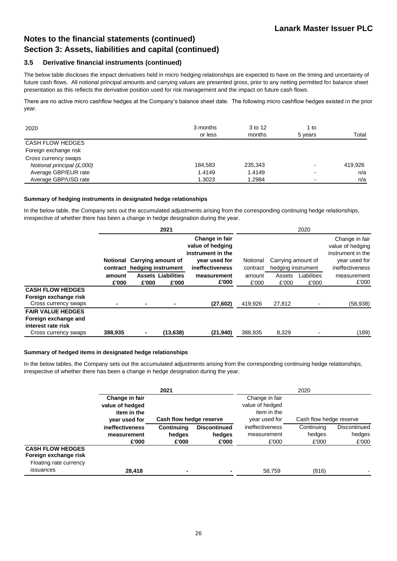### **3.5 Derivative financial instruments (continued)**

The below table discloses the impact derivatives held in micro hedging relationships are expected to have on the timing and uncertainty of future cash flows. All notional principal amounts and carrying values are presented gross, prior to any netting permitted for balance sheet presentation as this reflects the derivative position used for risk management and the impact on future cash flows.

There are no active micro cashflow hedges at the Company's balance sheet date. The following micro cashflow hedges existed in the prior year.

| 2020                       | 3 months<br>or less | 3 to 12<br>months | 1 to<br>5 years          | Total   |
|----------------------------|---------------------|-------------------|--------------------------|---------|
| CASH FLOW HEDGES           |                     |                   |                          |         |
| Foreign exchange risk      |                     |                   |                          |         |
| Cross currency swaps       |                     |                   |                          |         |
| Notional principal (£,000) | 184,583             | 235,343           | -                        | 419.926 |
| Average GBP/EUR rate       | 1.4149              | 1.4149            | $\overline{\phantom{0}}$ | n/a     |
| Average GBP/USD rate       | 1.3023              | 1.2984            |                          | n/a     |

#### **Summary of hedging instruments in designated hedge relationships**

In the below table, the Company sets out the accumulated adjustments arising from the corresponding continuing hedge relationships, irrespective of whether there has been a change in hedge designation during the year.

|                                                                          | 2021    |                             |                                                |                                                         | 2020     |                    |             |                                                         |
|--------------------------------------------------------------------------|---------|-----------------------------|------------------------------------------------|---------------------------------------------------------|----------|--------------------|-------------|---------------------------------------------------------|
|                                                                          |         |                             |                                                | Change in fair<br>value of hedging<br>instrument in the |          |                    |             | Change in fair<br>value of hedging<br>instrument in the |
|                                                                          |         | Notional Carrying amount of |                                                | year used for                                           | Notional | Carrying amount of |             | year used for                                           |
|                                                                          |         |                             | contract hedging instrument<br>ineffectiveness |                                                         | contract | hedging instrument |             | ineffectiveness                                         |
|                                                                          | amount  |                             | <b>Assets Liabilities</b>                      | measurement                                             | amount   | Assets             | Liabilities | measurement                                             |
|                                                                          | £'000   | £'000                       | £'000                                          | £'000                                                   | £'000    | £'000              | £'000       | £'000                                                   |
| <b>CASH FLOW HEDGES</b><br>Foreign exchange risk<br>Cross currency swaps |         |                             |                                                | (27, 602)                                               | 419,926  | 27,812             |             | (58, 938)                                               |
| <b>FAIR VALUE HEDGES</b><br>Foreign exchange and<br>interest rate risk   |         |                             |                                                |                                                         |          |                    |             |                                                         |
| Cross currency swaps                                                     | 388,935 |                             | (13, 638)                                      | (21, 940)                                               | 388,935  | 8,329              |             | (189)                                                   |

#### **Summary of hedged items in designated hedge relationships**

In the below tables, the Company sets out the accumulated adjustments arising from the corresponding continuing hedge relationships, irrespective of whether there has been a change in hedge designation during the year.

|                                                                                         |                                                                   | 2021                          |                                        | 2020                                                              |                               |                                 |  |
|-----------------------------------------------------------------------------------------|-------------------------------------------------------------------|-------------------------------|----------------------------------------|-------------------------------------------------------------------|-------------------------------|---------------------------------|--|
|                                                                                         | Change in fair<br>value of hedged<br>item in the<br>year used for | Cash flow hedge reserve       |                                        | Change in fair<br>value of hedged<br>item in the<br>year used for | Cash flow hedge reserve       |                                 |  |
|                                                                                         | ineffectiveness<br>measurement<br>£'000                           | Continuing<br>hedges<br>£'000 | <b>Discontinued</b><br>hedges<br>£'000 | ineffectiveness<br>measurement<br>£'000                           | Continuing<br>hedges<br>£'000 | Discontinued<br>hedges<br>£'000 |  |
| <b>CASH FLOW HEDGES</b><br>Foreign exchange risk<br>Floating rate currency<br>issuances | 28,418                                                            |                               |                                        | 58,759                                                            | (816)                         |                                 |  |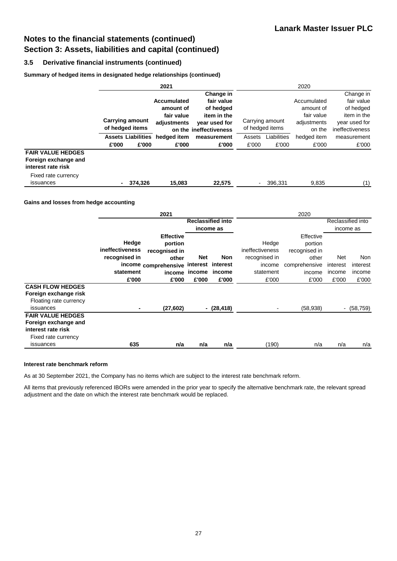### **3.5 Derivative financial instruments (continued)**

#### **Summary of hedged items in designated hedge relationships (continued)**

|                                                                        |                                           | 2021                               |                                                       |                                                                                                |                                    |                      | 2020                                                            |                                                                                         |  |  |  |  |
|------------------------------------------------------------------------|-------------------------------------------|------------------------------------|-------------------------------------------------------|------------------------------------------------------------------------------------------------|------------------------------------|----------------------|-----------------------------------------------------------------|-----------------------------------------------------------------------------------------|--|--|--|--|
|                                                                        | <b>Carrying amount</b><br>of hedged items |                                    | Accumulated<br>amount of<br>fair value<br>adjustments | Change in<br>fair value<br>of hedged<br>item in the<br>year used for<br>on the ineffectiveness | Carrying amount<br>of hedged items |                      | Accumulated<br>amount of<br>fair value<br>adjustments<br>on the | Change in<br>fair value<br>of hedged<br>item in the<br>year used for<br>ineffectiveness |  |  |  |  |
|                                                                        | £'000                                     | <b>Assets Liabilities</b><br>£'000 | hedged item<br>£'000                                  | measurement<br>£'000                                                                           | Assets<br>£'000                    | Liabilities<br>£'000 | hedged item<br>£'000                                            | measurement<br>£'000                                                                    |  |  |  |  |
| <b>FAIR VALUE HEDGES</b><br>Foreign exchange and<br>interest rate risk |                                           |                                    |                                                       |                                                                                                |                                    |                      |                                                                 |                                                                                         |  |  |  |  |
| Fixed rate currency<br>issuances                                       | ۰                                         | 374.326                            | 15.083                                                | 22.575                                                                                         |                                    | 396.331              | 9,835                                                           | (1)                                                                                     |  |  |  |  |

#### **Gains and losses from hedge accounting**

|                          |                        | 2021                          | 2020                     |            |                   |               |          |            |
|--------------------------|------------------------|-------------------------------|--------------------------|------------|-------------------|---------------|----------|------------|
|                          |                        |                               | <b>Reclassified into</b> |            | Reclassified into |               |          |            |
|                          |                        |                               |                          | income as  |                   |               |          | income as  |
|                          |                        | <b>Effective</b>              |                          |            |                   | Effective     |          |            |
|                          | Hedge                  | portion                       |                          |            | Hedge             | portion       |          |            |
|                          | <i>ineffectiveness</i> | recognised in                 |                          |            | ineffectiveness   | recognised in |          |            |
|                          | recognised in          | other                         | <b>Net</b>               | <b>Non</b> | recognised in     | other         | Net      | <b>Non</b> |
|                          |                        | income comprehensive interest |                          | interest   | income            | comprehensive | interest | interest   |
|                          | statement              | income                        | income                   | income     | statement         | income        | income   | income     |
|                          | £'000                  | £'000                         | £'000                    | £'000      | £'000             | £'000         | £'000    | £'000      |
| <b>CASH FLOW HEDGES</b>  |                        |                               |                          |            |                   |               |          |            |
| Foreign exchange risk    |                        |                               |                          |            |                   |               |          |            |
| Floating rate currency   |                        |                               |                          |            |                   |               |          |            |
| issuances                |                        | (27, 602)                     |                          | - (28,418) |                   | (58, 938)     | ۰.       | (58, 759)  |
| <b>FAIR VALUE HEDGES</b> |                        |                               |                          |            |                   |               |          |            |
| Foreign exchange and     |                        |                               |                          |            |                   |               |          |            |
| interest rate risk       |                        |                               |                          |            |                   |               |          |            |
| Fixed rate currency      |                        |                               |                          |            |                   |               |          |            |
| issuances                | 635                    | n/a                           | n/a                      | n/a        | (190)             | n/a           | n/a      | n/a        |

#### **Interest rate benchmark reform**

As at 30 September 2021, the Company has no items which are subject to the interest rate benchmark reform.

All items that previously referenced IBORs were amended in the prior year to specify the alternative benchmark rate, the relevant spread adjustment and the date on which the interest rate benchmark would be replaced.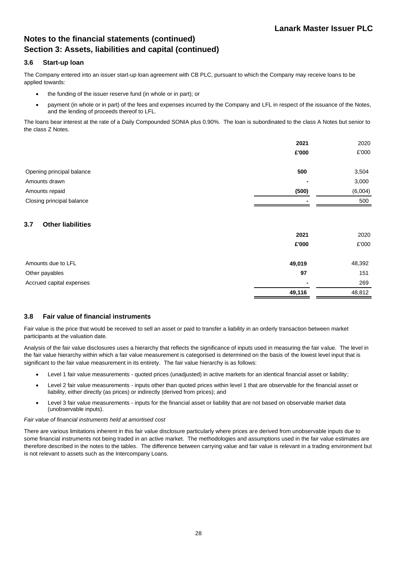### **3.6 Start-up loan**

The Company entered into an issuer start-up loan agreement with CB PLC, pursuant to which the Company may receive loans to be applied towards:

- the funding of the issuer reserve fund (in whole or in part); or
- payment (in whole or in part) of the fees and expenses incurred by the Company and LFL in respect of the issuance of the Notes, and the lending of proceeds thereof to LFL.

The loans bear interest at the rate of a Daily Compounded SONIA plus 0.90%. The loan is subordinated to the class A Notes but senior to the class Z Notes.

|                                 | 2021   | 2020    |
|---------------------------------|--------|---------|
|                                 | £'000  | £'000   |
| Opening principal balance       | 500    | 3,504   |
| Amounts drawn                   | ۰      | 3,000   |
| Amounts repaid                  | (500)  | (6,004) |
| Closing principal balance       |        | 500     |
| <b>Other liabilities</b><br>3.7 |        |         |
|                                 | 2021   | 2020    |
|                                 | £'000  | £'000   |
| Amounts due to LFL              | 49,019 | 48,392  |
| Other payables                  | 97     | 151     |
| Accrued capital expenses        |        | 269     |
|                                 | 49,116 | 48,812  |

#### **3.8 Fair value of financial instruments**

Fair value is the price that would be received to sell an asset or paid to transfer a liability in an orderly transaction between market participants at the valuation date.

Analysis of the fair value disclosures uses a hierarchy that reflects the significance of inputs used in measuring the fair value. The level in the fair value hierarchy within which a fair value measurement is categorised is determined on the basis of the lowest level input that is significant to the fair value measurement in its entirety. The fair value hierarchy is as follows:

- Level 1 fair value measurements quoted prices (unadjusted) in active markets for an identical financial asset or liability;
- Level 2 fair value measurements inputs other than quoted prices within level 1 that are observable for the financial asset or liability, either directly (as prices) or indirectly (derived from prices); and
- Level 3 fair value measurements inputs for the financial asset or liability that are not based on observable market data (unobservable inputs).

*Fair value of financial instruments held at amortised cost*

There are various limitations inherent in this fair value disclosure particularly where prices are derived from unobservable inputs due to some financial instruments not being traded in an active market. The methodologies and assumptions used in the fair value estimates are therefore described in the notes to the tables. The difference between carrying value and fair value is relevant in a trading environment but is not relevant to assets such as the Intercompany Loans.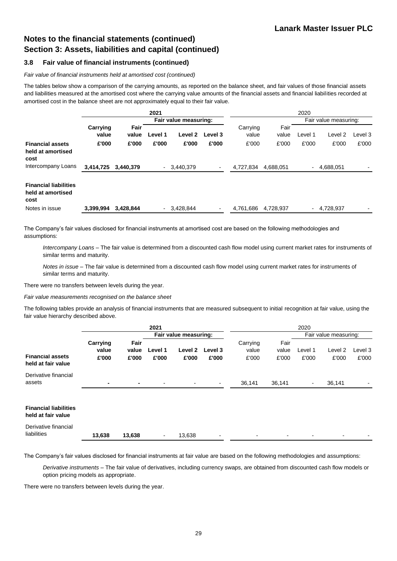### **3.8 Fair value of financial instruments (continued)**

#### *Fair value of financial instruments held at amortised cost (continued)*

The tables below show a comparison of the carrying amounts, as reported on the balance sheet, and fair values of those financial assets and liabilities measured at the amortised cost where the carrying value amounts of the financial assets and financial liabilities recorded at amortised cost in the balance sheet are not approximately equal to their fair value.

|                                                           | 2021              |               |                          |                       |         | 2020              |               |                       |              |         |  |
|-----------------------------------------------------------|-------------------|---------------|--------------------------|-----------------------|---------|-------------------|---------------|-----------------------|--------------|---------|--|
|                                                           |                   |               |                          | Fair value measuring: |         |                   |               | Fair value measuring: |              |         |  |
|                                                           | Carrying<br>value | Fair<br>value | Level 1                  | Level 2               | Level 3 | Carrying<br>value | Fair<br>value | Level 1               | Level 2      | Level 3 |  |
| <b>Financial assets</b><br>held at amortised<br>cost      | £'000             | £'000         | £'000                    | £'000                 | £'000   | £'000             | £'000         | £'000                 | £'000        | £'000   |  |
| Intercompany Loans                                        | 3.414.725         | 3.440.379     |                          | $-3,440,379$          |         | 4,727,834         | 4,688,051     |                       | $-4,688,051$ |         |  |
| <b>Financial liabilities</b><br>held at amortised<br>cost |                   |               |                          |                       |         |                   |               |                       |              |         |  |
| Notes in issue                                            | 3.399.994         | 3,428,844     | $\overline{\phantom{a}}$ | 3,428,844             |         | 4,761,686         | 4,728,937     |                       | $-4,728,937$ |         |  |

The Company's fair values disclosed for financial instruments at amortised cost are based on the following methodologies and assumptions:

*Intercompany Loans* – The fair value is determined from a discounted cash flow model using current market rates for instruments of similar terms and maturity.

*Notes in issue* – The fair value is determined from a discounted cash flow model using current market rates for instruments of similar terms and maturity.

There were no transfers between levels during the year.

*Fair value measurements recognised on the balance sheet*

The following tables provide an analysis of financial instruments that are measured subsequent to initial recognition at fair value, using the fair value hierarchy described above.

|                                                    | 2021                       |                        |                  |                       | 2020             |                            |                          |                       |                          |                  |
|----------------------------------------------------|----------------------------|------------------------|------------------|-----------------------|------------------|----------------------------|--------------------------|-----------------------|--------------------------|------------------|
|                                                    |                            |                        |                  | Fair value measuring: |                  |                            |                          | Fair value measuring: |                          |                  |
| <b>Financial assets</b><br>held at fair value      | Carrying<br>value<br>£'000 | Fair<br>value<br>£'000 | Level 1<br>£'000 | Level 2<br>£'000      | Level 3<br>£'000 | Carrying<br>value<br>£'000 | Fair<br>value<br>£'000   | Level 1<br>£'000      | Level 2<br>£'000         | Level 3<br>£'000 |
| Derivative financial<br>assets                     |                            | ۰                      |                  | $\blacksquare$        |                  | 36,141                     | 36,141                   | $\blacksquare$        | 36,141                   |                  |
| <b>Financial liabilities</b><br>held at fair value |                            |                        |                  |                       |                  |                            |                          |                       |                          |                  |
| Derivative financial<br>liabilities                | 13,638                     | 13,638                 | $\blacksquare$   | 13,638                |                  |                            | $\overline{\phantom{0}}$ |                       | $\overline{\phantom{0}}$ |                  |

The Company's fair values disclosed for financial instruments at fair value are based on the following methodologies and assumptions:

*Derivative instruments* – The fair value of derivatives, including currency swaps, are obtained from discounted cash flow models or option pricing models as appropriate.

There were no transfers between levels during the year.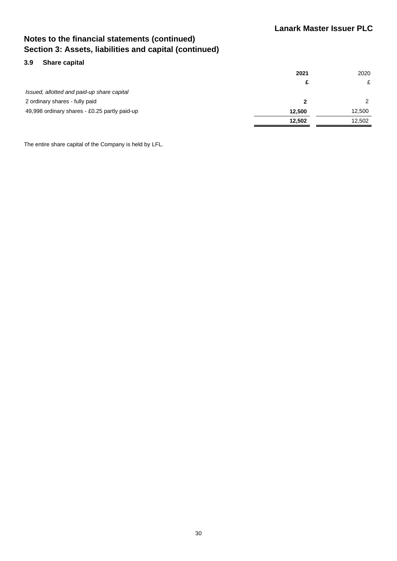### **3.9 Share capital**

|                                               | 2021   |        |
|-----------------------------------------------|--------|--------|
|                                               | £      | £      |
| Issued, allotted and paid-up share capital    |        |        |
| 2 ordinary shares - fully paid                |        |        |
| 49,998 ordinary shares - £0.25 partly paid-up | 12.500 | 12.500 |
|                                               | 12,502 | 12,502 |

The entire share capital of the Company is held by LFL.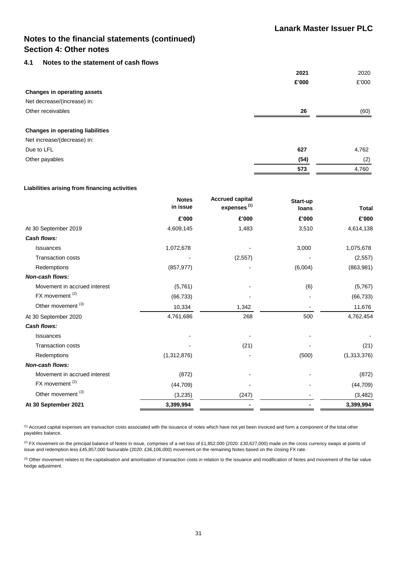### **4.1 Notes to the statement of cash flows**

|                                         | 2021  | 2020  |
|-----------------------------------------|-------|-------|
|                                         | £'000 | £'000 |
| <b>Changes in operating assets</b>      |       |       |
| Net decrease/(increase) in:             |       |       |
| Other receivables                       | 26    | (60)  |
|                                         |       |       |
| <b>Changes in operating liabilities</b> |       |       |
| Net increase/(decrease) in:             |       |       |
| Due to LFL                              | 627   | 4,762 |
| Other payables                          | (54)  | (2)   |
|                                         | 573   | 4,760 |

#### **Liabilities arising from financing activities**

|                               | <b>Notes</b><br>in issue | <b>Accrued capital</b><br>expenses <sup>(1)</sup> | Start-up<br>loans | <b>Total</b> |
|-------------------------------|--------------------------|---------------------------------------------------|-------------------|--------------|
|                               | £'000                    | £'000                                             | £'000             | £'000        |
| At 30 September 2019          | 4,609,145                | 1,483                                             | 3,510             | 4,614,138    |
| <b>Cash flows:</b>            |                          |                                                   |                   |              |
| Issuances                     | 1,072,678                |                                                   | 3,000             | 1,075,678    |
| <b>Transaction costs</b>      |                          | (2, 557)                                          |                   | (2, 557)     |
| Redemptions                   | (857, 977)               |                                                   | (6,004)           | (863,981)    |
| Non-cash flows:               |                          |                                                   |                   |              |
| Movement in accrued interest  | (5,761)                  |                                                   | (6)               | (5,767)      |
| FX movement <sup>(2)</sup>    | (66, 733)                |                                                   |                   | (66, 733)    |
| Other movement <sup>(3)</sup> | 10,334                   | 1,342                                             |                   | 11,676       |
| At 30 September 2020          | 4,761,686                | 268                                               | 500               | 4,762,454    |
| <b>Cash flows:</b>            |                          |                                                   |                   |              |
| Issuances                     |                          |                                                   |                   |              |
| <b>Transaction costs</b>      |                          | (21)                                              |                   | (21)         |
| Redemptions                   | (1,312,876)              |                                                   | (500)             | (1,313,376)  |
| <b>Non-cash flows:</b>        |                          |                                                   |                   |              |
| Movement in accrued interest  | (872)                    |                                                   |                   | (872)        |
| FX movement <sup>(2)</sup>    | (44, 709)                |                                                   |                   | (44, 709)    |
| Other movement <sup>(3)</sup> | (3,235)                  | (247)                                             |                   | (3, 482)     |
| At 30 September 2021          | 3,399,994                |                                                   |                   | 3,399,994    |

(1) Accrued capital expenses are transaction costs associated with the issuance of notes which have not yet been invoiced and form a component of the total other payables balance.

 $(2)$  FX movement on the principal balance of Notes in issue, comprises of a net loss of £1,852,000 (2020: £30,627,000) made on the cross currency swaps at points of issue and redemption less £45,857,000 favourable (2020: £36,106,000) movement on the remaining Notes based on the closing FX rate.

(3) Other movement relates to the capitalisation and amortisation of transaction costs in relation to the issuance and modification of Notes and movement of the fair value hedge adjustment.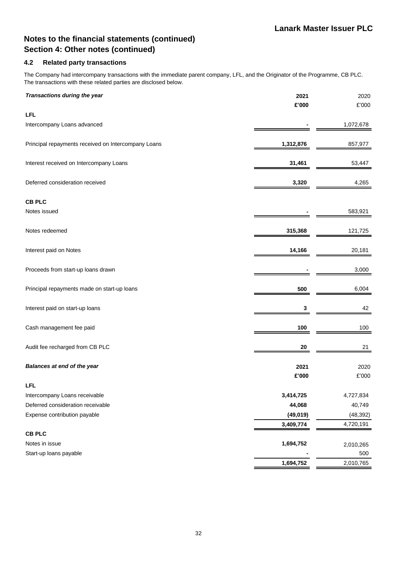### **4.2 Related party transactions**

The Company had intercompany transactions with the immediate parent company, LFL, and the Originator of the Programme, CB PLC. The transactions with these related parties are disclosed below.

| Transactions during the year                        | 2021<br>£'000 | 2020<br>£'000 |
|-----------------------------------------------------|---------------|---------------|
| <b>LFL</b>                                          |               |               |
| Intercompany Loans advanced                         |               | 1,072,678     |
| Principal repayments received on Intercompany Loans | 1,312,876     | 857,977       |
| Interest received on Intercompany Loans             | 31,461        | 53,447        |
| Deferred consideration received                     | 3,320         | 4,265         |
| <b>CB PLC</b>                                       |               |               |
| Notes issued                                        |               | 583,921       |
| Notes redeemed                                      | 315,368       | 121,725       |
| Interest paid on Notes                              | 14,166        | 20,181        |
| Proceeds from start-up loans drawn                  |               | 3,000         |
| Principal repayments made on start-up loans         | 500           | 6,004         |
| Interest paid on start-up loans                     | 3             | 42            |
| Cash management fee paid                            | 100           | 100           |
| Audit fee recharged from CB PLC                     | 20            | 21            |
| Balances at end of the year                         | 2021          | 2020          |
| <b>LFL</b>                                          | £'000         | £'000         |
| Intercompany Loans receivable                       | 3,414,725     | 4,727,834     |
| Deferred consideration receivable                   | 44,068        | 40,749        |
| Expense contribution payable                        | (49, 019)     | (48, 392)     |
|                                                     | 3,409,774     | 4,720,191     |
| <b>CB PLC</b>                                       |               |               |
| Notes in issue                                      | 1,694,752     | 2,010,265     |
| Start-up loans payable                              |               | 500           |
|                                                     | 1,694,752     | 2,010,765     |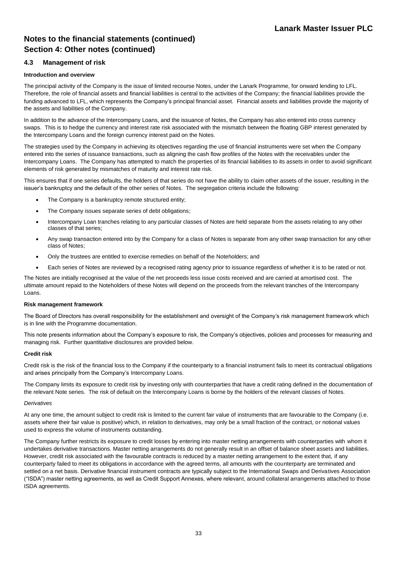### **4.3 Management of risk**

#### **Introduction and overview**

The principal activity of the Company is the issue of limited recourse Notes, under the Lanark Programme, for onward lending to LFL. Therefore, the role of financial assets and financial liabilities is central to the activities of the Company; the financial liabilities provide the funding advanced to LFL, which represents the Company's principal financial asset. Financial assets and liabilities provide the majority of the assets and liabilities of the Company.

In addition to the advance of the Intercompany Loans, and the issuance of Notes, the Company has also entered into cross currency swaps. This is to hedge the currency and interest rate risk associated with the mismatch between the floating GBP interest generated by the Intercompany Loans and the foreign currency interest paid on the Notes.

The strategies used by the Company in achieving its objectives regarding the use of financial instruments were set when the Company entered into the series of issuance transactions, such as aligning the cash flow profiles of the Notes with the receivables under the Intercompany Loans. The Company has attempted to match the properties of its financial liabilities to its assets in order to avoid significant elements of risk generated by mismatches of maturity and interest rate risk.

This ensures that if one series defaults, the holders of that series do not have the ability to claim other assets of the issuer, resulting in the issuer's bankruptcy and the default of the other series of Notes. The segregation criteria include the following:

- The Company is a bankruptcy remote structured entity;
- The Company issues separate series of debt obligations;
- Intercompany Loan tranches relating to any particular classes of Notes are held separate from the assets relating to any other classes of that series;
- Any swap transaction entered into by the Company for a class of Notes is separate from any other swap transaction for any other class of Notes;
- Only the trustees are entitled to exercise remedies on behalf of the Noteholders; and
- Each series of Notes are reviewed by a recognised rating agency prior to issuance regardless of whether it is to be rated or not.

The Notes are initially recognised at the value of the net proceeds less issue costs received and are carried at amortised cost. The ultimate amount repaid to the Noteholders of these Notes will depend on the proceeds from the relevant tranches of the Intercompany Loans.

#### **Risk management framework**

The Board of Directors has overall responsibility for the establishment and oversight of the Company's risk management framework which is in line with the Programme documentation.

This note presents information about the Company's exposure to risk, the Company's objectives, policies and processes for measuring and managing risk. Further quantitative disclosures are provided below.

#### **Credit risk**

Credit risk is the risk of the financial loss to the Company if the counterparty to a financial instrument fails to meet its contractual obligations and arises principally from the Company's Intercompany Loans.

The Company limits its exposure to credit risk by investing only with counterparties that have a credit rating defined in the documentation of the relevant Note series. The risk of default on the Intercompany Loans is borne by the holders of the relevant classes of Notes.

#### *Derivatives*

At any one time, the amount subject to credit risk is limited to the current fair value of instruments that are favourable to the Company (i.e. assets where their fair value is positive) which, in relation to derivatives, may only be a small fraction of the contract, or notional values used to express the volume of instruments outstanding.

The Company further restricts its exposure to credit losses by entering into master netting arrangements with counterparties with whom it undertakes derivative transactions. Master netting arrangements do not generally result in an offset of balance sheet assets and liabilities. However, credit risk associated with the favourable contracts is reduced by a master netting arrangement to the extent that, if any counterparty failed to meet its obligations in accordance with the agreed terms, all amounts with the counterparty are terminated and settled on a net basis. Derivative financial instrument contracts are typically subject to the International Swaps and Derivatives Association ("ISDA") master netting agreements, as well as Credit Support Annexes, where relevant, around collateral arrangements attached to those ISDA agreements.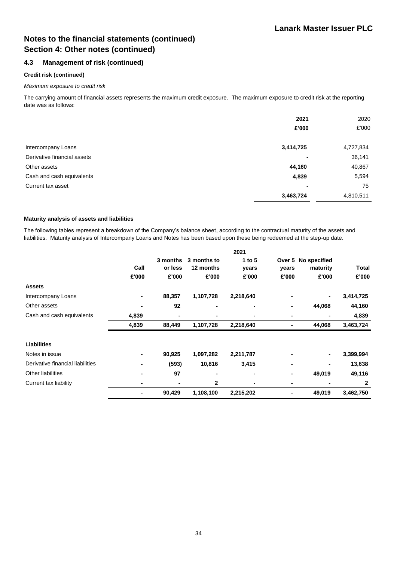### **4.3 Management of risk (continued)**

#### **Credit risk (continued)**

#### *Maximum exposure to credit risk*

The carrying amount of financial assets represents the maximum credit exposure. The maximum exposure to credit risk at the reporting date was as follows:

|                             | 2021<br>£'000  | 2020<br>£'000 |
|-----------------------------|----------------|---------------|
| Intercompany Loans          | 3,414,725      | 4,727,834     |
| Derivative financial assets | $\blacksquare$ | 36,141        |
| Other assets                | 44,160         | 40,867        |
| Cash and cash equivalents   | 4,839          | 5,594         |
| Current tax asset           | $\blacksquare$ | 75            |
|                             | 3,463,724      | 4,810,511     |

#### **Maturity analysis of assets and liabilities**

The following tables represent a breakdown of the Company's balance sheet, according to the contractual maturity of the assets and liabilities. Maturity analysis of Intercompany Loans and Notes has been based upon these being redeemed at the step-up date.

|                                  |       |                     |                          | 2021              |                 |                          |              |
|----------------------------------|-------|---------------------|--------------------------|-------------------|-----------------|--------------------------|--------------|
|                                  | Call  | 3 months<br>or less | 3 months to<br>12 months | 1 to $5$<br>years | Over 5<br>years | No specified<br>maturity | <b>Total</b> |
|                                  | £'000 | £'000               | £'000                    | £'000             | £'000           | £'000                    | £'000        |
| <b>Assets</b>                    |       |                     |                          |                   |                 |                          |              |
| Intercompany Loans               | ۰     | 88,357              | 1,107,728                | 2,218,640         |                 |                          | 3,414,725    |
| Other assets                     |       | 92                  | ۰                        | ۰                 |                 | 44,068                   | 44,160       |
| Cash and cash equivalents        | 4,839 | $\blacksquare$      | $\blacksquare$           |                   |                 |                          | 4,839        |
|                                  | 4,839 | 88,449              | 1,107,728                | 2,218,640         |                 | 44,068                   | 3,463,724    |
| <b>Liabilities</b>               |       |                     |                          |                   |                 |                          |              |
| Notes in issue                   | ۰     | 90,925              | 1,097,282                | 2,211,787         |                 | ٠                        | 3,399,994    |
| Derivative financial liabilities |       | (593)               | 10,816                   | 3,415             |                 |                          | 13,638       |
| Other liabilities                |       | 97                  |                          |                   |                 | 49,019                   | 49,116       |
| Current tax liability            |       | ۰                   | $\mathbf{2}$             | ۰                 |                 |                          | $\mathbf{2}$ |
|                                  |       | 90,429              | 1,108,100                | 2,215,202         |                 | 49,019                   | 3,462,750    |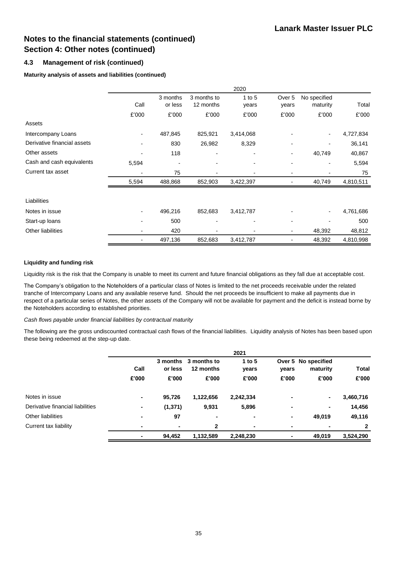### **4.3 Management of risk (continued)**

**Maturity analysis of assets and liabilities (continued)**

|                             |                          |                     |                          | 2020                     |                          |                          |           |
|-----------------------------|--------------------------|---------------------|--------------------------|--------------------------|--------------------------|--------------------------|-----------|
|                             | Call                     | 3 months<br>or less | 3 months to<br>12 months | 1 to $5$<br>years        | Over 5<br>years          | No specified<br>maturity | Total     |
|                             | £'000                    | £'000               | £'000                    | £'000                    | £'000                    | £'000                    | £'000     |
| Assets                      |                          |                     |                          |                          |                          |                          |           |
| Intercompany Loans          | $\blacksquare$           | 487,845             | 825,921                  | 3,414,068                |                          |                          | 4,727,834 |
| Derivative financial assets |                          | 830                 | 26,982                   | 8,329                    |                          |                          | 36,141    |
| Other assets                |                          | 118                 | $\blacksquare$           |                          | $\overline{\phantom{a}}$ | 40,749                   | 40,867    |
| Cash and cash equivalents   | 5,594                    | $\blacksquare$      | $\blacksquare$           |                          |                          |                          | 5,594     |
| Current tax asset           | $\overline{\phantom{0}}$ | 75                  | $\blacksquare$           |                          |                          |                          | 75        |
|                             | 5,594                    | 488,868             | 852,903                  | 3,422,397                |                          | 40,749                   | 4,810,511 |
| Liabilities                 |                          |                     |                          |                          |                          |                          |           |
| Notes in issue              |                          | 496,216             | 852,683                  | 3,412,787                |                          |                          | 4,761,686 |
| Start-up loans              |                          | 500                 | $\blacksquare$           |                          | $\overline{\phantom{0}}$ |                          | 500       |
| Other liabilities           | $\overline{\phantom{0}}$ | 420                 | $\blacksquare$           | $\overline{\phantom{0}}$ | $\blacksquare$           | 48,392                   | 48,812    |
|                             | $\overline{\phantom{0}}$ | 497,136             | 852,683                  | 3,412,787                | $\overline{\phantom{0}}$ | 48,392                   | 4,810,998 |

#### **Liquidity and funding risk**

Liquidity risk is the risk that the Company is unable to meet its current and future financial obligations as they fall due at acceptable cost.

The Company's obligation to the Noteholders of a particular class of Notes is limited to the net proceeds receivable under the related tranche of Intercompany Loans and any available reserve fund. Should the net proceeds be insufficient to make all payments due in respect of a particular series of Notes, the other assets of the Company will not be available for payment and the deficit is instead borne by the Noteholders according to established priorities.

#### *Cash flows payable under financial liabilities by contractual maturity*

The following are the gross undiscounted contractual cash flows of the financial liabilities. Liquidity analysis of Notes has been based upon these being redeemed at the step-up date.

|                                  |               |                              |                                   | 2021                       |                |                                          |                       |
|----------------------------------|---------------|------------------------------|-----------------------------------|----------------------------|----------------|------------------------------------------|-----------------------|
|                                  | Call<br>£'000 | 3 months<br>or less<br>£'000 | 3 months to<br>12 months<br>£'000 | 1 to $5$<br>years<br>£'000 | vears<br>£'000 | Over 5 No specified<br>maturity<br>£'000 | <b>Total</b><br>£'000 |
|                                  |               |                              |                                   |                            |                |                                          |                       |
| Notes in issue                   | ٠             | 95,726                       | 1,122,656                         | 2,242,334                  | ۰              | $\sim$                                   | 3,460,716             |
| Derivative financial liabilities | ٠             | (1, 371)                     | 9,931                             | 5,896                      | ۰              | ۰                                        | 14,456                |
| Other liabilities                | -             | 97                           | ۰                                 | ٠                          | ۰              | 49,019                                   | 49,116                |
| Current tax liability            | ۰             | $\blacksquare$               | $\mathbf{2}$                      | $\blacksquare$             |                |                                          | $\mathbf{2}$          |
|                                  | ۰.            | 94,452                       | 1,132,589                         | 2,248,230                  |                | 49,019                                   | 3,524,290             |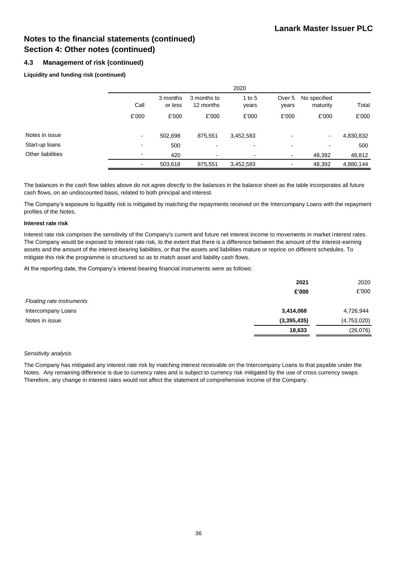### **4.3 Management of risk (continued)**

**Liquidity and funding risk (continued)**

|                   |                          | 2020                |                          |                          |                          |                          |           |
|-------------------|--------------------------|---------------------|--------------------------|--------------------------|--------------------------|--------------------------|-----------|
|                   | Call                     | 3 months<br>or less | 3 months to<br>12 months | 1 to $5$<br>years        | Over 5<br>years          | No specified<br>maturity | Total     |
|                   | £'000                    | £'000               | £'000                    | £'000                    | £'000                    | £'000                    | £'000     |
| Notes in issue    | $\overline{\phantom{a}}$ | 502,698             | 875,551                  | 3,452,583                | $\blacksquare$           | $\blacksquare$           | 4,830,832 |
| Start-up loans    | $\blacksquare$           | 500                 | $\overline{\phantom{a}}$ | $\overline{\phantom{a}}$ | $\overline{\phantom{0}}$ | $\overline{\phantom{0}}$ | 500       |
| Other liabilities | $\blacksquare$           | 420                 | -                        |                          |                          | 48,392                   | 48,812    |
|                   |                          | 503,618             | 875,551                  | 3,452,583                |                          | 48,392                   | 4,880,144 |

The balances in the cash flow tables above do not agree directly to the balances in the balance sheet as the table incorporates all future cash flows, on an undiscounted basis, related to both principal and interest.

The Company's exposure to liquidity risk is mitigated by matching the repayments received on the Intercompany Loans with the repayment profiles of the Notes.

#### **Interest rate risk**

Interest rate risk comprises the sensitivity of the Company's current and future net interest income to movements in market interest rates. The Company would be exposed to interest rate risk, to the extent that there is a difference between the amount of the interest-earning assets and the amount of the interest-bearing liabilities, or that the assets and liabilities mature or reprice on different schedules. To mitigate this risk the programme is structured so as to match asset and liability cash flows.

At the reporting date, the Company's interest-bearing financial instruments were as follows:

|                           | 2021        | 2020        |
|---------------------------|-------------|-------------|
|                           | £'000       | £'000       |
| Floating rate instruments |             |             |
| Intercompany Loans        | 3,414,068   | 4,726,944   |
| Notes in issue            | (3,395,435) | (4,753,020) |
|                           | 18,633      | (26,076)    |

#### *Sensitivity analysis*

The Company has mitigated any interest rate risk by matching interest receivable on the Intercompany Loans to that payable under the Notes. Any remaining difference is due to currency rates and is subject to currency risk mitigated by the use of cross currency swaps. Therefore, any change in interest rates would not affect the statement of comprehensive income of the Company.